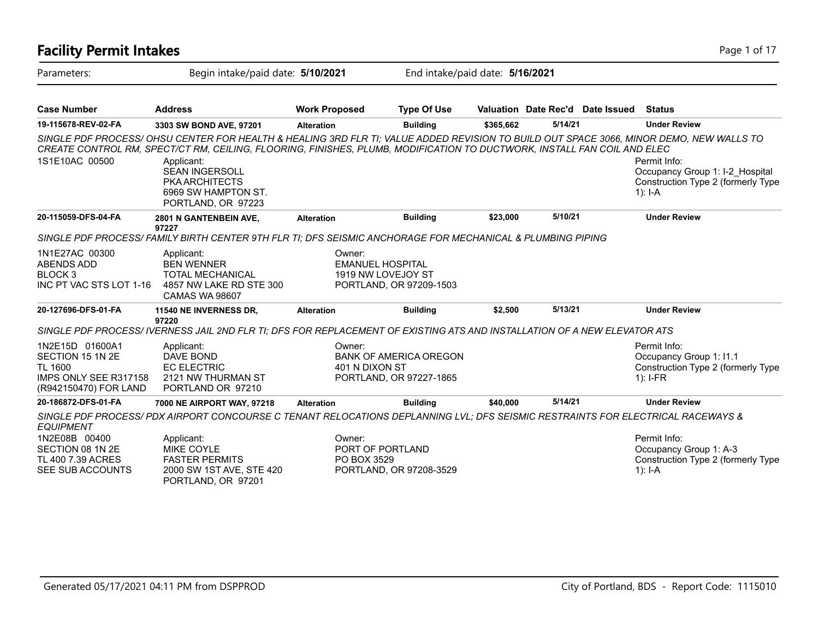### **Facility Permit Intakes** Page 1 of 17 Parameters: Begin intake/paid date: **5/10/2021** End intake/paid date: **5/16/2021 Case Number Address Work Proposed Type Of Use Valuation Date Rec'd Date Issued Status 19-115678-REV-02-FA 3303 SW BOND AVE, 97201 Alteration Building \$365,662 5/14/21 Under Review** *SINGLE PDF PROCESS/ OHSU CENTER FOR HEALTH & HEALING 3RD FLR TI; VALUE ADDED REVISION TO BUILD OUT SPACE 3066, MINOR DEMO, NEW WALLS TO CREATE CONTROL RM, SPECT/CT RM, CEILING, FLOORING, FINISHES, PLUMB, MODIFICATION TO DUCTWORK, INSTALL FAN COIL AND ELEC* Permit Info: Occupancy Group 1: I-2\_Hospital Construction Type 2 (formerly Type 1): I-A Applicant: SEAN INGERSOLL PKA ARCHITECTS 6969 SW HAMPTON ST. PORTLAND, OR 97223 1S1E10AC 00500 **20-115059-DFS-04-FA 2801 N GANTENBEIN AVE, 97227 Alteration Building \$23,000 5/10/21 Under Review** *SINGLE PDF PROCESS/ FAMILY BIRTH CENTER 9TH FLR TI; DFS SEISMIC ANCHORAGE FOR MECHANICAL & PLUMBING PIPING* Owner: EMANUEL HOSPITAL 1919 NW LOVEJOY ST PORTLAND, OR 97209-1503 Applicant: BEN WENNER TOTAL MECHANICAL 4857 NW LAKE RD STE 300 CAMAS WA 98607 1N1E27AC 00300 ABENDS ADD BLOCK 3 INC PT VAC STS LOT 1-16 **20-127696-DFS-01-FA 11540 NE INVERNESS DR, 97220 Alteration Building \$2,500 5/13/21 Under Review** *SINGLE PDF PROCESS/ IVERNESS JAIL 2ND FLR TI; DFS FOR REPLACEMENT OF EXISTING ATS AND INSTALLATION OF A NEW ELEVATOR ATS* Permit Info: Occupancy Group 1: I1.1 Construction Type 2 (formerly Type 1): I-FR Owner: BANK OF AMERICA OREGON 401 N DIXON ST PORTLAND, OR 97227-1865 Applicant: DAVE BOND EC ELECTRIC 2121 NW THURMAN ST PORTLAND OR 97210 1N2E15D 01600A1 SECTION 15 1N 2E TL 1600 IMPS ONLY SEE R317158 (R942150470) FOR LAND **20-186872-DFS-01-FA 7000 NE AIRPORT WAY, 97218 Alteration Building \$40,000 5/14/21 Under Review** *SINGLE PDF PROCESS/ PDX AIRPORT CONCOURSE C TENANT RELOCATIONS DEPLANNING LVL; DFS SEISMIC RESTRAINTS FOR ELECTRICAL RACEWAYS & EQUIPMENT* Permit Info: Occupancy Group 1: A-3 Construction Type 2 (formerly Type 1): I-A Owner: PORT OF PORTLAND PO BOX 3529 PORTLAND, OR 97208-3529 Applicant: MIKE COYLE FASTER PERMITS 2000 SW 1ST AVE, STE 420 PORTLAND, OR 97201 1N2E08B 00400 SECTION 08 1N 2E TL 400 7.39 ACRES SEE SUB ACCOUNTS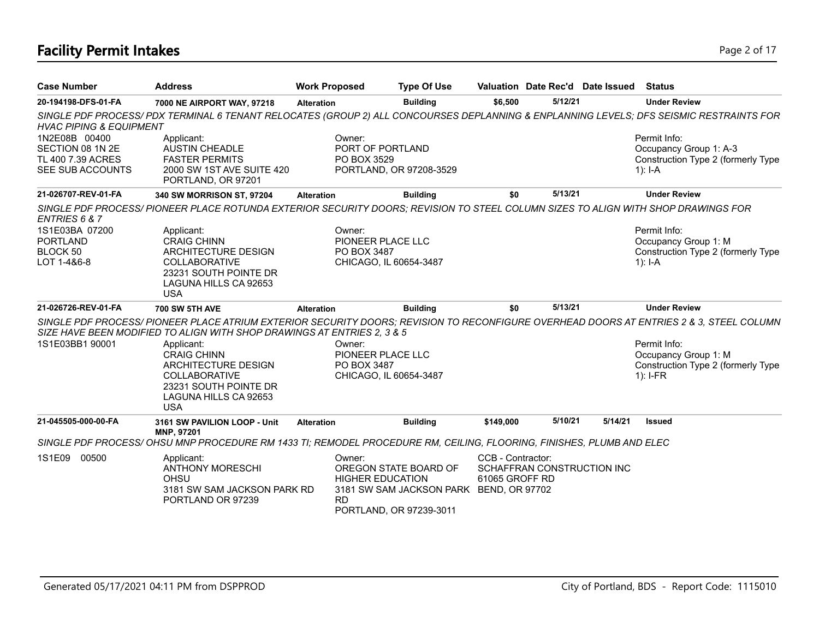# **Facility Permit Intakes** Page 2 of 17

| <b>Case Number</b>                                                         | <b>Address</b>                                                                                                                                                                                                     | <b>Work Proposed</b>  | <b>Type Of Use</b>                                                                                                     |                                     |                            | Valuation Date Rec'd Date Issued | <b>Status</b>                                                                               |
|----------------------------------------------------------------------------|--------------------------------------------------------------------------------------------------------------------------------------------------------------------------------------------------------------------|-----------------------|------------------------------------------------------------------------------------------------------------------------|-------------------------------------|----------------------------|----------------------------------|---------------------------------------------------------------------------------------------|
| 20-194198-DFS-01-FA                                                        | 7000 NE AIRPORT WAY, 97218                                                                                                                                                                                         | <b>Alteration</b>     | <b>Building</b>                                                                                                        | \$6,500                             | 5/12/21                    |                                  | <b>Under Review</b>                                                                         |
| <b>HVAC PIPING &amp; EQUIPMENT</b>                                         | SINGLE PDF PROCESS/PDX TERMINAL 6 TENANT RELOCATES (GROUP 2) ALL CONCOURSES DEPLANNING & ENPLANNING LEVELS; DFS SEISMIC RESTRAINTS FOR                                                                             |                       |                                                                                                                        |                                     |                            |                                  |                                                                                             |
| 1N2E08B 00400<br>SECTION 08 1N 2E<br>TL 400 7.39 ACRES<br>SEE SUB ACCOUNTS | Applicant:<br><b>AUSTIN CHEADLE</b><br><b>FASTER PERMITS</b><br>2000 SW 1ST AVE SUITE 420<br>PORTLAND, OR 97201                                                                                                    | Owner:<br>PO BOX 3529 | PORT OF PORTLAND<br>PORTLAND, OR 97208-3529                                                                            |                                     |                            |                                  | Permit Info:<br>Occupancy Group 1: A-3<br>Construction Type 2 (formerly Type<br>1): $I - A$ |
| 21-026707-REV-01-FA                                                        | 340 SW MORRISON ST, 97204                                                                                                                                                                                          | <b>Alteration</b>     | <b>Building</b>                                                                                                        | \$0                                 | 5/13/21                    |                                  | <b>Under Review</b>                                                                         |
| ENTRIES 6 & 7                                                              | SINGLE PDF PROCESS/ PIONEER PLACE ROTUNDA EXTERIOR SECURITY DOORS: REVISION TO STEEL COLUMN SIZES TO ALIGN WITH SHOP DRAWINGS FOR                                                                                  |                       |                                                                                                                        |                                     |                            |                                  |                                                                                             |
| 1S1E03BA 07200<br><b>PORTLAND</b><br>BLOCK 50<br>LOT 1-4&6-8               | Applicant:<br><b>CRAIG CHINN</b><br>ARCHITECTURE DESIGN<br><b>COLLABORATIVE</b><br>23231 SOUTH POINTE DR<br>LAGUNA HILLS CA 92653<br><b>USA</b>                                                                    | Owner:<br>PO BOX 3487 | PIONEER PLACE LLC<br>CHICAGO, IL 60654-3487                                                                            |                                     |                            |                                  | Permit Info:<br>Occupancy Group 1: M<br>Construction Type 2 (formerly Type<br>$1$ : I-A     |
| 21-026726-REV-01-FA                                                        | <b>700 SW 5TH AVE</b>                                                                                                                                                                                              | <b>Alteration</b>     | <b>Building</b>                                                                                                        | \$0                                 | 5/13/21                    |                                  | <b>Under Review</b>                                                                         |
|                                                                            | SINGLE PDF PROCESS/ PIONEER PLACE ATRIUM EXTERIOR SECURITY DOORS: REVISION TO RECONFIGURE OVERHEAD DOORS AT ENTRIES 2 & 3. STEEL COLUMN<br>SIZE HAVE BEEN MODIFIED TO ALIGN WITH SHOP DRAWINGS AT ENTRIES 2, 3 & 5 |                       |                                                                                                                        |                                     |                            |                                  |                                                                                             |
| 1S1E03BB1 90001                                                            | Applicant:<br><b>CRAIG CHINN</b><br>ARCHITECTURE DESIGN<br><b>COLLABORATIVE</b><br>23231 SOUTH POINTE DR<br>LAGUNA HILLS CA 92653<br><b>USA</b>                                                                    | Owner:<br>PO BOX 3487 | PIONEER PLACE LLC<br>CHICAGO, IL 60654-3487                                                                            |                                     |                            |                                  | Permit Info:<br>Occupancy Group 1: M<br>Construction Type 2 (formerly Type<br>$1$ : I-FR    |
| 21-045505-000-00-FA                                                        | 3161 SW PAVILION LOOP - Unit<br>MNP, 97201                                                                                                                                                                         | <b>Alteration</b>     | <b>Building</b>                                                                                                        | \$149,000                           | 5/10/21                    | 5/14/21                          | <b>Issued</b>                                                                               |
|                                                                            | SINGLE PDF PROCESS/OHSU MNP PROCEDURE RM 1433 TI; REMODEL PROCEDURE RM, CEILING, FLOORING, FINISHES, PLUMB AND ELEC                                                                                                |                       |                                                                                                                        |                                     |                            |                                  |                                                                                             |
| 1S1E09 00500                                                               | Applicant:<br><b>ANTHONY MORESCHI</b><br>OHSU<br>3181 SW SAM JACKSON PARK RD<br>PORTLAND OR 97239                                                                                                                  | Owner:<br><b>RD</b>   | OREGON STATE BOARD OF<br><b>HIGHER EDUCATION</b><br>3181 SW SAM JACKSON PARK BEND, OR 97702<br>PORTLAND, OR 97239-3011 | CCB - Contractor:<br>61065 GROFF RD | SCHAFFRAN CONSTRUCTION INC |                                  |                                                                                             |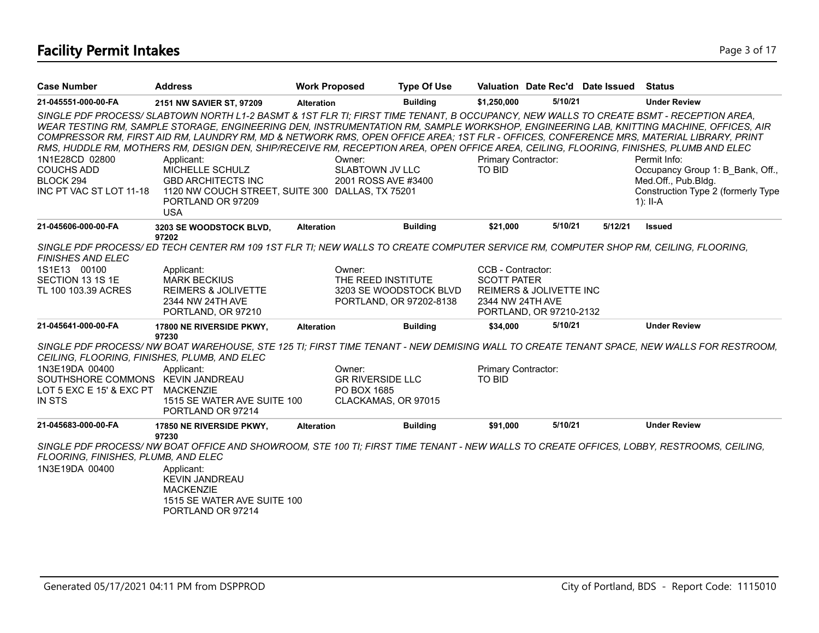| <b>Case Number</b>                                                          | <b>Address</b>                                                                                                                                                                                                                                                                                                                                                                                                                                                                                                                                                                                                                                                                                                             | <b>Work Proposed</b>                                    | <b>Type Of Use</b>      |                               |                                    | Valuation Date Rec'd Date Issued | <b>Status</b>                                                                                                                            |
|-----------------------------------------------------------------------------|----------------------------------------------------------------------------------------------------------------------------------------------------------------------------------------------------------------------------------------------------------------------------------------------------------------------------------------------------------------------------------------------------------------------------------------------------------------------------------------------------------------------------------------------------------------------------------------------------------------------------------------------------------------------------------------------------------------------------|---------------------------------------------------------|-------------------------|-------------------------------|------------------------------------|----------------------------------|------------------------------------------------------------------------------------------------------------------------------------------|
| 21-045551-000-00-FA                                                         | 2151 NW SAVIER ST, 97209                                                                                                                                                                                                                                                                                                                                                                                                                                                                                                                                                                                                                                                                                                   | <b>Alteration</b>                                       | <b>Building</b>         | \$1,250,000                   | 5/10/21                            |                                  | <b>Under Review</b>                                                                                                                      |
| 1N1E28CD 02800<br><b>COUCHS ADD</b><br>BLOCK 294<br>INC PT VAC ST LOT 11-18 | SINGLE PDF PROCESS/ SLABTOWN NORTH L1-2 BASMT & 1ST FLR TI; FIRST TIME TENANT, B OCCUPANCY, NEW WALLS TO CREATE BSMT - RECEPTION AREA,<br>WEAR TESTING RM, SAMPLE STORAGE, ENGINEERING DEN, INSTRUMENTATION RM, SAMPLE WORKSHOP, ENGINEERING LAB, KNITTING MACHINE, OFFICES, AIR<br>COMPRESSOR RM, FIRST AID RM, LAUNDRY RM, MD & NETWORK RMS, OPEN OFFICE AREA; 1ST FLR - OFFICES, CONFERENCE MRS, MATERIAL LIBRARY, PRINT<br>RMS, HUDDLE RM, MOTHERS RM, DESIGN DEN, SHIP/RECEIVE RM, RECEPTION AREA, OPEN OFFICE AREA, CEILING, FLOORING, FINISHES, PLUMB AND ELEC<br>Applicant:<br>MICHELLE SCHULZ<br><b>GBD ARCHITECTS INC</b><br>1120 NW COUCH STREET, SUITE 300 DALLAS, TX 75201<br>PORTLAND OR 97209<br><b>USA</b> | Owner:<br><b>SLABTOWN JV LLC</b><br>2001 ROSS AVE #3400 |                         | Primary Contractor:<br>TO BID |                                    |                                  | Permit Info:<br>Occupancy Group 1: B Bank, Off.,<br>Med.Off., Pub.Bldg.<br>Construction Type 2 (formerly Type<br>$1$ : II-A              |
| 21-045606-000-00-FA                                                         | 3203 SE WOODSTOCK BLVD,                                                                                                                                                                                                                                                                                                                                                                                                                                                                                                                                                                                                                                                                                                    | <b>Alteration</b>                                       | <b>Building</b>         | \$21,000                      | 5/10/21                            | 5/12/21                          | <b>Issued</b>                                                                                                                            |
| <b>FINISHES AND ELEC</b>                                                    | 97202<br>SINGLE PDF PROCESS/ED TECH CENTER RM 109 1ST FLR TI; NEW WALLS TO CREATE COMPUTER SERVICE RM, COMPUTER SHOP RM, CEILING, FLOORING,                                                                                                                                                                                                                                                                                                                                                                                                                                                                                                                                                                                |                                                         |                         |                               |                                    |                                  |                                                                                                                                          |
| 1S1E13 00100                                                                | Applicant:                                                                                                                                                                                                                                                                                                                                                                                                                                                                                                                                                                                                                                                                                                                 | Owner:                                                  |                         | CCB - Contractor:             |                                    |                                  |                                                                                                                                          |
| SECTION 13 1S 1E                                                            | <b>MARK BECKIUS</b>                                                                                                                                                                                                                                                                                                                                                                                                                                                                                                                                                                                                                                                                                                        | THE REED INSTITUTE                                      |                         | <b>SCOTT PATER</b>            |                                    |                                  |                                                                                                                                          |
| TL 100 103.39 ACRES                                                         | <b>REIMERS &amp; JOLIVETTE</b>                                                                                                                                                                                                                                                                                                                                                                                                                                                                                                                                                                                                                                                                                             |                                                         | 3203 SE WOODSTOCK BLVD  |                               | <b>REIMERS &amp; JOLIVETTE INC</b> |                                  |                                                                                                                                          |
|                                                                             | 2344 NW 24TH AVE<br>PORTLAND, OR 97210                                                                                                                                                                                                                                                                                                                                                                                                                                                                                                                                                                                                                                                                                     |                                                         | PORTLAND, OR 97202-8138 | 2344 NW 24TH AVE              | PORTLAND, OR 97210-2132            |                                  |                                                                                                                                          |
| 21-045641-000-00-FA                                                         | 17800 NE RIVERSIDE PKWY,<br>97230                                                                                                                                                                                                                                                                                                                                                                                                                                                                                                                                                                                                                                                                                          | <b>Alteration</b>                                       | <b>Building</b>         | \$34,000                      | 5/10/21                            |                                  | <b>Under Review</b>                                                                                                                      |
| CEILING, FLOORING, FINISHES, PLUMB, AND ELEC                                |                                                                                                                                                                                                                                                                                                                                                                                                                                                                                                                                                                                                                                                                                                                            |                                                         |                         |                               |                                    |                                  | SINGLE PDF PROCESS/ NW BOAT WAREHOUSE, STE 125 TI; FIRST TIME TENANT - NEW DEMISING WALL TO CREATE TENANT SPACE, NEW WALLS FOR RESTROOM, |
| 1N3E19DA 00400                                                              | Applicant:                                                                                                                                                                                                                                                                                                                                                                                                                                                                                                                                                                                                                                                                                                                 | Owner:                                                  |                         | Primary Contractor:           |                                    |                                  |                                                                                                                                          |
| SOUTHSHORE COMMONS KEVIN JANDREAU                                           |                                                                                                                                                                                                                                                                                                                                                                                                                                                                                                                                                                                                                                                                                                                            | <b>GR RIVERSIDE LLC</b>                                 |                         | <b>TO BID</b>                 |                                    |                                  |                                                                                                                                          |
| LOT 5 EXC E 15' & EXC PT                                                    | <b>MACKENZIE</b>                                                                                                                                                                                                                                                                                                                                                                                                                                                                                                                                                                                                                                                                                                           | PO BOX 1685                                             |                         |                               |                                    |                                  |                                                                                                                                          |
| <b>IN STS</b>                                                               | 1515 SE WATER AVE SUITE 100<br>PORTLAND OR 97214                                                                                                                                                                                                                                                                                                                                                                                                                                                                                                                                                                                                                                                                           | CLACKAMAS, OR 97015                                     |                         |                               |                                    |                                  |                                                                                                                                          |
| 21-045683-000-00-FA                                                         | 17850 NE RIVERSIDE PKWY,<br>97230                                                                                                                                                                                                                                                                                                                                                                                                                                                                                                                                                                                                                                                                                          | <b>Alteration</b>                                       | <b>Building</b>         | \$91,000                      | 5/10/21                            |                                  | <b>Under Review</b>                                                                                                                      |
|                                                                             | SINGLE PDF PROCESS/NW BOAT OFFICE AND SHOWROOM, STE 100 TI; FIRST TIME TENANT - NEW WALLS TO CREATE OFFICES, LOBBY, RESTROOMS, CEILING,                                                                                                                                                                                                                                                                                                                                                                                                                                                                                                                                                                                    |                                                         |                         |                               |                                    |                                  |                                                                                                                                          |
| FLOORING, FINISHES, PLUMB, AND ELEC                                         |                                                                                                                                                                                                                                                                                                                                                                                                                                                                                                                                                                                                                                                                                                                            |                                                         |                         |                               |                                    |                                  |                                                                                                                                          |
| 1N3E19DA 00400                                                              | Applicant:                                                                                                                                                                                                                                                                                                                                                                                                                                                                                                                                                                                                                                                                                                                 |                                                         |                         |                               |                                    |                                  |                                                                                                                                          |
|                                                                             | KEVIN JANDREAU                                                                                                                                                                                                                                                                                                                                                                                                                                                                                                                                                                                                                                                                                                             |                                                         |                         |                               |                                    |                                  |                                                                                                                                          |
|                                                                             | <b>MACKENZIE</b>                                                                                                                                                                                                                                                                                                                                                                                                                                                                                                                                                                                                                                                                                                           |                                                         |                         |                               |                                    |                                  |                                                                                                                                          |
|                                                                             | 1515 SE WATER AVE SUITE 100                                                                                                                                                                                                                                                                                                                                                                                                                                                                                                                                                                                                                                                                                                |                                                         |                         |                               |                                    |                                  |                                                                                                                                          |
|                                                                             | PORTLAND OR 97214                                                                                                                                                                                                                                                                                                                                                                                                                                                                                                                                                                                                                                                                                                          |                                                         |                         |                               |                                    |                                  |                                                                                                                                          |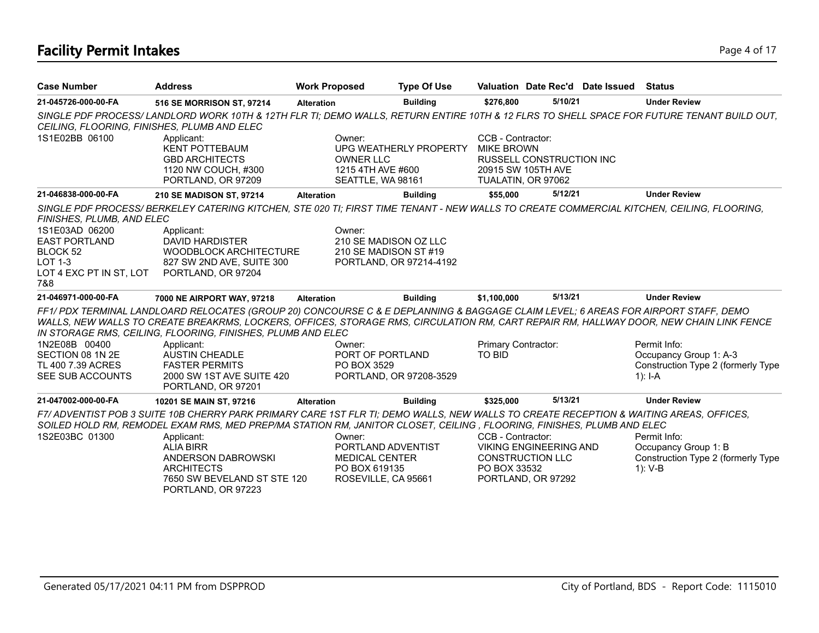# **Facility Permit Intakes** Page 4 of 17

| <b>Case Number</b>                                                                                                           | <b>Address</b>                                                                                                                                                                                                                                                                                                                             | <b>Work Proposed</b>                                                 | <b>Type Of Use</b>                                                        |                                                                                    |                                                     | Valuation Date Rec'd Date Issued | <b>Status</b>                                                                               |
|------------------------------------------------------------------------------------------------------------------------------|--------------------------------------------------------------------------------------------------------------------------------------------------------------------------------------------------------------------------------------------------------------------------------------------------------------------------------------------|----------------------------------------------------------------------|---------------------------------------------------------------------------|------------------------------------------------------------------------------------|-----------------------------------------------------|----------------------------------|---------------------------------------------------------------------------------------------|
| 21-045726-000-00-FA                                                                                                          | 516 SE MORRISON ST, 97214                                                                                                                                                                                                                                                                                                                  | <b>Alteration</b>                                                    | <b>Building</b>                                                           | \$276.800                                                                          | 5/10/21                                             |                                  | <b>Under Review</b>                                                                         |
| CEILING, FLOORING, FINISHES, PLUMB AND ELEC                                                                                  | SINGLE PDF PROCESS/LANDLORD WORK 10TH & 12TH FLR TI; DEMO WALLS, RETURN ENTIRE 10TH & 12 FLRS TO SHELL SPACE FOR FUTURE TENANT BUILD OUT,                                                                                                                                                                                                  |                                                                      |                                                                           |                                                                                    |                                                     |                                  |                                                                                             |
| 1S1E02BB 06100                                                                                                               | Applicant:<br><b>KENT POTTEBAUM</b><br><b>GBD ARCHITECTS</b><br>1120 NW COUCH, #300<br>PORTLAND, OR 97209                                                                                                                                                                                                                                  | Owner:<br><b>OWNER LLC</b><br>1215 4TH AVE #600<br>SEATTLE, WA 98161 | UPG WEATHERLY PROPERTY                                                    | CCB - Contractor:<br><b>MIKE BROWN</b><br>20915 SW 105TH AVE<br>TUALATIN, OR 97062 | <b>RUSSELL CONSTRUCTION INC</b>                     |                                  |                                                                                             |
| 21-046838-000-00-FA                                                                                                          | 210 SE MADISON ST, 97214                                                                                                                                                                                                                                                                                                                   | <b>Alteration</b>                                                    | <b>Building</b>                                                           | \$55,000                                                                           | 5/12/21                                             |                                  | <b>Under Review</b>                                                                         |
| FINISHES, PLUMB, AND ELEC<br>1S1E03AD 06200<br><b>EAST PORTLAND</b><br>BLOCK 52<br>LOT 1-3<br>LOT 4 EXC PT IN ST, LOT<br>7&8 | SINGLE PDF PROCESS/BERKELEY CATERING KITCHEN, STE 020 TI; FIRST TIME TENANT - NEW WALLS TO CREATE COMMERCIAL KITCHEN, CEILING, FLOORING,<br>Applicant:<br>DAVID HARDISTER<br>WOODBLOCK ARCHITECTURE<br>827 SW 2ND AVE, SUITE 300<br>PORTLAND, OR 97204                                                                                     | Owner:                                                               | 210 SE MADISON OZ LLC<br>210 SE MADISON ST #19<br>PORTLAND, OR 97214-4192 |                                                                                    |                                                     |                                  |                                                                                             |
| 21-046971-000-00-FA                                                                                                          | 7000 NE AIRPORT WAY, 97218                                                                                                                                                                                                                                                                                                                 | <b>Alteration</b>                                                    | <b>Building</b>                                                           | \$1,100,000                                                                        | 5/13/21                                             |                                  | <b>Under Review</b>                                                                         |
|                                                                                                                              | FF1/PDX TERMINAL LANDLOARD RELOCATES (GROUP 20) CONCOURSE C & E DEPLANNING & BAGGAGE CLAIM LEVEL; 6 AREAS FOR AIRPORT STAFF, DEMO<br>WALLS, NEW WALLS TO CREATE BREAKRMS, LOCKERS, OFFICES, STORAGE RMS, CIRCULATION RM, CART REPAIR RM, HALLWAY DOOR, NEW CHAIN LINK FENCE<br>IN STORAGE RMS, CEILING, FLOORING, FINISHES, PLUMB AND ELEC |                                                                      |                                                                           |                                                                                    |                                                     |                                  |                                                                                             |
| 1N2E08B 00400<br>SECTION 08 1N 2E<br>TL 400 7.39 ACRES<br>SEE SUB ACCOUNTS                                                   | Applicant:<br><b>AUSTIN CHEADLE</b><br><b>FASTER PERMITS</b><br>2000 SW 1ST AVE SUITE 420<br>PORTLAND, OR 97201                                                                                                                                                                                                                            | Owner:<br>PORT OF PORTLAND<br>PO BOX 3529                            | PORTLAND, OR 97208-3529                                                   | Primary Contractor:<br>TO BID                                                      |                                                     |                                  | Permit Info:<br>Occupancy Group 1: A-3<br>Construction Type 2 (formerly Type<br>1): $I - A$ |
| 21-047002-000-00-FA                                                                                                          | 10201 SE MAIN ST, 97216                                                                                                                                                                                                                                                                                                                    | <b>Alteration</b>                                                    | <b>Building</b>                                                           | \$325,000                                                                          | 5/13/21                                             |                                  | <b>Under Review</b>                                                                         |
|                                                                                                                              | F7/ ADVENTIST POB 3 SUITE 10B CHERRY PARK PRIMARY CARE 1ST FLR TI; DEMO WALLS, NEW WALLS TO CREATE RECEPTION & WAITING AREAS, OFFICES,<br>SOILED HOLD RM, REMODEL EXAM RMS, MED PREP/MA STATION RM, JANITOR CLOSET, CEILING, FLOORING, FINISHES, PLUMB AND ELEC                                                                            |                                                                      |                                                                           |                                                                                    |                                                     |                                  |                                                                                             |
| 1S2E03BC 01300                                                                                                               | Applicant:<br><b>ALIA BIRR</b><br>ANDERSON DABROWSKI<br><b>ARCHITECTS</b><br>7650 SW BEVELAND ST STE 120<br>PORTLAND, OR 97223                                                                                                                                                                                                             | Owner:<br><b>MEDICAL CENTER</b><br>PO BOX 619135                     | PORTLAND ADVENTIST<br>ROSEVILLE, CA 95661                                 | CCB - Contractor:<br><b>CONSTRUCTION LLC</b><br>PO BOX 33532                       | <b>VIKING ENGINEERING AND</b><br>PORTLAND, OR 97292 |                                  | Permit Info:<br>Occupancy Group 1: B<br>Construction Type 2 (formerly Type<br>1): V-B       |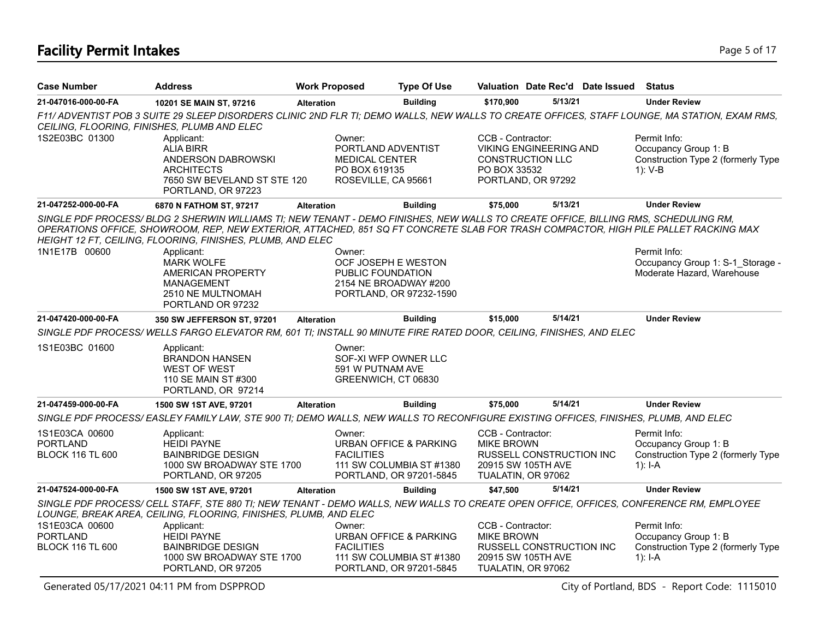# **Facility Permit Intakes** Page 5 of 17

| <b>Case Number</b>                                           | <b>Address</b>                                                                                                                                                                                                                                                                                                                                        | <b>Work Proposed</b>                                                    | <b>Type Of Use</b>                                                                       |                                                              | Valuation Date Rec'd Date Issued                                               | <b>Status</b>                                                                           |
|--------------------------------------------------------------|-------------------------------------------------------------------------------------------------------------------------------------------------------------------------------------------------------------------------------------------------------------------------------------------------------------------------------------------------------|-------------------------------------------------------------------------|------------------------------------------------------------------------------------------|--------------------------------------------------------------|--------------------------------------------------------------------------------|-----------------------------------------------------------------------------------------|
| 21-047016-000-00-FA                                          | 10201 SE MAIN ST, 97216                                                                                                                                                                                                                                                                                                                               | <b>Alteration</b>                                                       | <b>Building</b>                                                                          | \$170,900                                                    | 5/13/21                                                                        | <b>Under Review</b>                                                                     |
|                                                              | F11/ ADVENTIST POB 3 SUITE 29 SLEEP DISORDERS CLINIC 2ND FLR TI; DEMO WALLS, NEW WALLS TO CREATE OFFICES, STAFF LOUNGE, MA STATION, EXAM RMS,<br>CEILING, FLOORING, FINISHES, PLUMB AND ELEC                                                                                                                                                          |                                                                         |                                                                                          |                                                              |                                                                                |                                                                                         |
| 1S2E03BC 01300                                               | Applicant:<br><b>ALIA BIRR</b><br>ANDERSON DABROWSKI<br><b>ARCHITECTS</b><br>7650 SW BEVELAND ST STE 120<br>PORTLAND, OR 97223                                                                                                                                                                                                                        | Owner:<br><b>MEDICAL CENTER</b><br>PO BOX 619135<br>ROSEVILLE, CA 95661 | PORTLAND ADVENTIST                                                                       | CCB - Contractor:<br>PO BOX 33532                            | <b>VIKING ENGINEERING AND</b><br><b>CONSTRUCTION LLC</b><br>PORTLAND, OR 97292 | Permit Info:<br>Occupancy Group 1: B<br>Construction Type 2 (formerly Type<br>$1: V-B$  |
| 21-047252-000-00-FA                                          | 6870 N FATHOM ST, 97217                                                                                                                                                                                                                                                                                                                               | <b>Alteration</b>                                                       | <b>Building</b>                                                                          | \$75,000                                                     | 5/13/21                                                                        | <b>Under Review</b>                                                                     |
| 1N1E17B 00600                                                | SINGLE PDF PROCESS/BLDG 2 SHERWIN WILLIAMS TI; NEW TENANT - DEMO FINISHES, NEW WALLS TO CREATE OFFICE, BILLING RMS, SCHEDULING RM,<br>OPERATIONS OFFICE, SHOWROOM, REP, NEW EXTERIOR, ATTACHED, 851 SQ FT CONCRETE SLAB FOR TRASH COMPACTOR, HIGH PILE PALLET RACKING MAX<br>HEIGHT 12 FT, CEILING, FLOORING, FINISHES, PLUMB, AND ELEC<br>Applicant: | Owner:                                                                  |                                                                                          |                                                              |                                                                                | Permit Info:                                                                            |
|                                                              | <b>MARK WOLFE</b><br>AMERICAN PROPERTY<br>MANAGEMENT<br>2510 NE MULTNOMAH<br>PORTLAND OR 97232                                                                                                                                                                                                                                                        | PUBLIC FOUNDATION                                                       | OCF JOSEPH E WESTON<br>2154 NE BROADWAY #200<br>PORTLAND, OR 97232-1590                  |                                                              |                                                                                | Occupancy Group 1: S-1 Storage -<br>Moderate Hazard, Warehouse                          |
| 21-047420-000-00-FA                                          | 350 SW JEFFERSON ST, 97201                                                                                                                                                                                                                                                                                                                            | <b>Alteration</b>                                                       | <b>Building</b>                                                                          | \$15,000                                                     | 5/14/21                                                                        | <b>Under Review</b>                                                                     |
|                                                              | SINGLE PDF PROCESS/WELLS FARGO ELEVATOR RM, 601 TI; INSTALL 90 MINUTE FIRE RATED DOOR, CEILING, FINISHES, AND ELEC                                                                                                                                                                                                                                    |                                                                         |                                                                                          |                                                              |                                                                                |                                                                                         |
| 1S1E03BC 01600                                               | Applicant:<br><b>BRANDON HANSEN</b><br><b>WEST OF WEST</b><br>110 SE MAIN ST #300<br>PORTLAND, OR 97214                                                                                                                                                                                                                                               | Owner:<br>591 W PUTNAM AVE                                              | SOF-XI WFP OWNER LLC<br>GREENWICH, CT 06830                                              |                                                              |                                                                                |                                                                                         |
| 21-047459-000-00-FA                                          | 1500 SW 1ST AVE, 97201                                                                                                                                                                                                                                                                                                                                | <b>Alteration</b>                                                       | <b>Building</b>                                                                          | \$75,000                                                     | 5/14/21                                                                        | <b>Under Review</b>                                                                     |
|                                                              | SINGLE PDF PROCESS/EASLEY FAMILY LAW, STE 900 TI; DEMO WALLS, NEW WALLS TO RECONFIGURE EXISTING OFFICES, FINISHES, PLUMB, AND ELEC                                                                                                                                                                                                                    |                                                                         |                                                                                          |                                                              |                                                                                |                                                                                         |
| 1S1E03CA 00600<br><b>PORTLAND</b><br><b>BLOCK 116 TL 600</b> | Applicant:<br><b>HEIDI PAYNE</b><br><b>BAINBRIDGE DESIGN</b><br>1000 SW BROADWAY STE 1700<br>PORTLAND, OR 97205                                                                                                                                                                                                                                       | Owner:<br><b>FACILITIES</b>                                             | <b>URBAN OFFICE &amp; PARKING</b><br>111 SW COLUMBIA ST #1380<br>PORTLAND, OR 97201-5845 | CCB - Contractor:<br><b>MIKE BROWN</b><br>TUALATIN, OR 97062 | <b>RUSSELL CONSTRUCTION INC</b><br>20915 SW 105TH AVE                          | Permit Info:<br>Occupancy Group 1: B<br>Construction Type 2 (formerly Type<br>$1$ : I-A |
| 21-047524-000-00-FA                                          | 1500 SW 1ST AVE, 97201                                                                                                                                                                                                                                                                                                                                | <b>Alteration</b>                                                       | <b>Building</b>                                                                          | \$47,500                                                     | 5/14/21                                                                        | <b>Under Review</b>                                                                     |
|                                                              | SINGLE PDF PROCESS/ CELL STAFF, STE 880 TI; NEW TENANT - DEMO WALLS, NEW WALLS TO CREATE OPEN OFFICE, OFFICES, CONFERENCE RM, EMPLOYEE<br>LOUNGE, BREAK AREA, CEILING, FLOORING, FINISHES, PLUMB, AND ELEC                                                                                                                                            |                                                                         |                                                                                          |                                                              |                                                                                |                                                                                         |
| 1S1E03CA 00600<br><b>PORTLAND</b><br><b>BLOCK 116 TL 600</b> | Applicant:<br><b>HEIDI PAYNE</b><br><b>BAINBRIDGE DESIGN</b><br>1000 SW BROADWAY STE 1700<br>PORTLAND, OR 97205                                                                                                                                                                                                                                       | Owner:<br><b>FACILITIES</b>                                             | <b>URBAN OFFICE &amp; PARKING</b><br>111 SW COLUMBIA ST #1380<br>PORTLAND, OR 97201-5845 | CCB - Contractor:<br><b>MIKE BROWN</b><br>TUALATIN, OR 97062 | RUSSELL CONSTRUCTION INC<br>20915 SW 105TH AVE                                 | Permit Info:<br>Occupancy Group 1: B<br>Construction Type 2 (formerly Type<br>1): I-A   |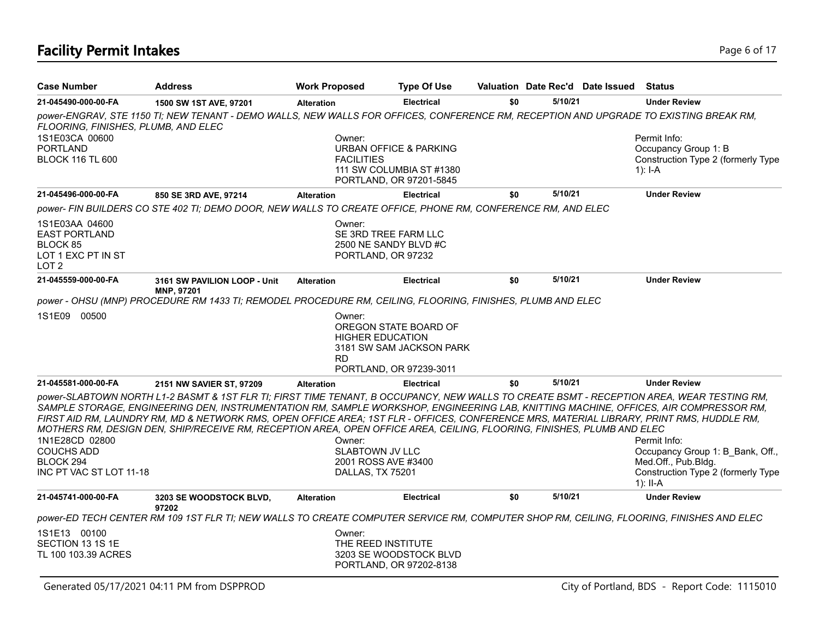# **Facility Permit Intakes** Page 6 of 17

| <b>Case Number</b>                                                                           | <b>Address</b>                                                                                                                                                                                                                                                                                                                                                                                                                                                                                                                                          | <b>Work Proposed</b>             | <b>Type Of Use</b>                                                                                      |     |         | Valuation Date Rec'd Date Issued | Status                                                                                  |
|----------------------------------------------------------------------------------------------|---------------------------------------------------------------------------------------------------------------------------------------------------------------------------------------------------------------------------------------------------------------------------------------------------------------------------------------------------------------------------------------------------------------------------------------------------------------------------------------------------------------------------------------------------------|----------------------------------|---------------------------------------------------------------------------------------------------------|-----|---------|----------------------------------|-----------------------------------------------------------------------------------------|
| 21-045490-000-00-FA                                                                          | 1500 SW 1ST AVE, 97201                                                                                                                                                                                                                                                                                                                                                                                                                                                                                                                                  | <b>Alteration</b>                | <b>Electrical</b>                                                                                       | \$0 | 5/10/21 |                                  | <b>Under Review</b>                                                                     |
| FLOORING, FINISHES, PLUMB, AND ELEC                                                          | power-ENGRAV, STE 1150 TI; NEW TENANT - DEMO WALLS, NEW WALLS FOR OFFICES, CONFERENCE RM, RECEPTION AND UPGRADE TO EXISTING BREAK RM,                                                                                                                                                                                                                                                                                                                                                                                                                   |                                  |                                                                                                         |     |         |                                  |                                                                                         |
| 1S1E03CA 00600<br><b>PORTLAND</b><br><b>BLOCK 116 TL 600</b>                                 |                                                                                                                                                                                                                                                                                                                                                                                                                                                                                                                                                         | Owner:<br><b>FACILITIES</b>      | URBAN OFFICE & PARKING<br>111 SW COLUMBIA ST #1380<br>PORTLAND, OR 97201-5845                           |     |         |                                  | Permit Info:<br>Occupancy Group 1: B<br>Construction Type 2 (formerly Type<br>$1$ : I-A |
| 21-045496-000-00-FA                                                                          | 850 SE 3RD AVE, 97214                                                                                                                                                                                                                                                                                                                                                                                                                                                                                                                                   | <b>Alteration</b>                | <b>Electrical</b>                                                                                       | \$0 | 5/10/21 |                                  | <b>Under Review</b>                                                                     |
|                                                                                              | power- FIN BUILDERS CO STE 402 TI; DEMO DOOR, NEW WALLS TO CREATE OFFICE, PHONE RM, CONFERENCE RM, AND ELEC                                                                                                                                                                                                                                                                                                                                                                                                                                             |                                  |                                                                                                         |     |         |                                  |                                                                                         |
| 1S1E03AA 04600<br><b>EAST PORTLAND</b><br>BLOCK 85<br>LOT 1 EXC PT IN ST<br>LOT <sub>2</sub> |                                                                                                                                                                                                                                                                                                                                                                                                                                                                                                                                                         | Owner:                           | SE 3RD TREE FARM LLC<br>2500 NE SANDY BLVD #C<br>PORTLAND, OR 97232                                     |     |         |                                  |                                                                                         |
| 21-045559-000-00-FA                                                                          | 3161 SW PAVILION LOOP - Unit                                                                                                                                                                                                                                                                                                                                                                                                                                                                                                                            | <b>Alteration</b>                | <b>Electrical</b>                                                                                       | \$0 | 5/10/21 |                                  | <b>Under Review</b>                                                                     |
|                                                                                              | <b>MNP, 97201</b><br>power - OHSU (MNP) PROCEDURE RM 1433 TI; REMODEL PROCEDURE RM, CEILING, FLOORING, FINISHES, PLUMB AND ELEC                                                                                                                                                                                                                                                                                                                                                                                                                         |                                  |                                                                                                         |     |         |                                  |                                                                                         |
| 1S1E09<br>00500                                                                              |                                                                                                                                                                                                                                                                                                                                                                                                                                                                                                                                                         | Owner:<br><b>RD</b>              | OREGON STATE BOARD OF<br><b>HIGHER EDUCATION</b><br>3181 SW SAM JACKSON PARK<br>PORTLAND, OR 97239-3011 |     |         |                                  |                                                                                         |
| 21-045581-000-00-FA                                                                          | 2151 NW SAVIER ST, 97209                                                                                                                                                                                                                                                                                                                                                                                                                                                                                                                                | <b>Alteration</b>                | <b>Electrical</b>                                                                                       | \$0 | 5/10/21 |                                  | <b>Under Review</b>                                                                     |
| 1N1E28CD 02800<br><b>COUCHS ADD</b>                                                          | power-SLABTOWN NORTH L1-2 BASMT & 1ST FLR TI; FIRST TIME TENANT, B OCCUPANCY, NEW WALLS TO CREATE BSMT - RECEPTION AREA, WEAR TESTING RM,<br>SAMPLE STORAGE, ENGINEERING DEN, INSTRUMENTATION RM, SAMPLE WORKSHOP, ENGINEERING LAB, KNITTING MACHINE, OFFICES, AIR COMPRESSOR RM,<br>FIRST AID RM, LAUNDRY RM, MD & NETWORK RMS, OPEN OFFICE AREA; 1ST FLR - OFFICES, CONFERENCE MRS, MATERIAL LIBRARY, PRINT RMS, HUDDLE RM,<br>MOTHERS RM, DESIGN DEN, SHIP/RECEIVE RM, RECEPTION AREA, OPEN OFFICE AREA, CEILING, FLOORING, FINISHES, PLUMB AND ELEC | Owner:<br><b>SLABTOWN JV LLC</b> |                                                                                                         |     |         |                                  | Permit Info:<br>Occupancy Group 1: B_Bank, Off.,                                        |
| BLOCK 294<br>INC PT VAC ST LOT 11-18                                                         |                                                                                                                                                                                                                                                                                                                                                                                                                                                                                                                                                         | <b>DALLAS, TX 75201</b>          | 2001 ROSS AVE #3400                                                                                     |     |         |                                  | Med.Off., Pub.Bldg.<br>Construction Type 2 (formerly Type<br>1): II-A                   |
| 21-045741-000-00-FA                                                                          | 3203 SE WOODSTOCK BLVD,<br>97202                                                                                                                                                                                                                                                                                                                                                                                                                                                                                                                        | <b>Alteration</b>                | <b>Electrical</b>                                                                                       | \$0 | 5/10/21 |                                  | <b>Under Review</b>                                                                     |
|                                                                                              | power-ED TECH CENTER RM 109 1ST FLR TI; NEW WALLS TO CREATE COMPUTER SERVICE RM, COMPUTER SHOP RM, CEILING, FLOORING, FINISHES AND ELEC                                                                                                                                                                                                                                                                                                                                                                                                                 |                                  |                                                                                                         |     |         |                                  |                                                                                         |
| 1S1E13 00100<br>SECTION 13 1S 1E<br>TL 100 103.39 ACRES                                      |                                                                                                                                                                                                                                                                                                                                                                                                                                                                                                                                                         | Owner:                           | THE REED INSTITUTE<br>3203 SE WOODSTOCK BLVD<br>PORTLAND, OR 97202-8138                                 |     |         |                                  |                                                                                         |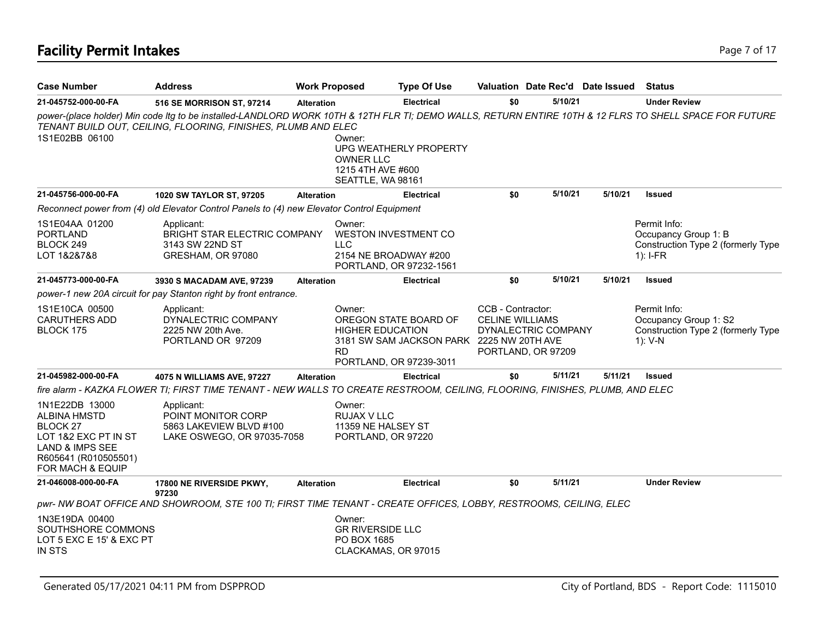| <b>Case Number</b>                                                                                                                       | <b>Address</b>                                                                                                               | <b>Work Proposed</b> |                                                                              | <b>Type Of Use</b>                                                                            |                                                                                          |         | Valuation Date Rec'd Date Issued | <b>Status</b>                                                                                                                                          |
|------------------------------------------------------------------------------------------------------------------------------------------|------------------------------------------------------------------------------------------------------------------------------|----------------------|------------------------------------------------------------------------------|-----------------------------------------------------------------------------------------------|------------------------------------------------------------------------------------------|---------|----------------------------------|--------------------------------------------------------------------------------------------------------------------------------------------------------|
| 21-045752-000-00-FA                                                                                                                      | 516 SE MORRISON ST, 97214                                                                                                    | <b>Alteration</b>    |                                                                              | <b>Electrical</b>                                                                             | \$0                                                                                      | 5/10/21 |                                  | <b>Under Review</b>                                                                                                                                    |
| 1S1E02BB 06100                                                                                                                           | TENANT BUILD OUT, CEILING, FLOORING, FINISHES, PLUMB AND ELEC                                                                |                      | Owner:<br><b>OWNER LLC</b><br>1215 4TH AVE #600<br>SEATTLE, WA 98161         | UPG WEATHERLY PROPERTY                                                                        |                                                                                          |         |                                  | power-(place holder) Min code Itg to be installed-LANDLORD WORK 10TH & 12TH FLR TI; DEMO WALLS, RETURN ENTIRE 10TH & 12 FLRS TO SHELL SPACE FOR FUTURE |
| 21-045756-000-00-FA                                                                                                                      | 1020 SW TAYLOR ST, 97205                                                                                                     | <b>Alteration</b>    |                                                                              | <b>Electrical</b>                                                                             | \$0                                                                                      | 5/10/21 | 5/10/21                          | <b>Issued</b>                                                                                                                                          |
|                                                                                                                                          | Reconnect power from (4) old Elevator Control Panels to (4) new Elevator Control Equipment                                   |                      |                                                                              |                                                                                               |                                                                                          |         |                                  |                                                                                                                                                        |
| 1S1E04AA 01200<br>PORTLAND<br>BLOCK 249<br>LOT 1&2&7&8                                                                                   | Applicant:<br><b>BRIGHT STAR ELECTRIC COMPANY</b><br>3143 SW 22ND ST<br>GRESHAM, OR 97080                                    |                      | Owner:<br><b>WESTON INVESTMENT CO</b><br><b>LLC</b><br>2154 NE BROADWAY #200 | PORTLAND, OR 97232-1561                                                                       |                                                                                          |         |                                  | Permit Info:<br>Occupancy Group 1: B<br>Construction Type 2 (formerly Type<br>$1$ : I-FR                                                               |
| 21-045773-000-00-FA                                                                                                                      | 3930 S MACADAM AVE, 97239                                                                                                    | <b>Alteration</b>    |                                                                              | <b>Electrical</b>                                                                             | \$0                                                                                      | 5/10/21 | 5/10/21                          | <b>Issued</b>                                                                                                                                          |
|                                                                                                                                          | power-1 new 20A circuit for pay Stanton right by front entrance.                                                             |                      |                                                                              |                                                                                               |                                                                                          |         |                                  |                                                                                                                                                        |
| 1S1E10CA 00500<br><b>CARUTHERS ADD</b><br>BLOCK 175                                                                                      | Applicant:<br>DYNALECTRIC COMPANY<br>2225 NW 20th Ave.<br>PORTLAND OR 97209                                                  |                      | Owner:<br><b>HIGHER EDUCATION</b><br><b>RD</b>                               | OREGON STATE BOARD OF<br>3181 SW SAM JACKSON PARK 2225 NW 20TH AVE<br>PORTLAND, OR 97239-3011 | CCB - Contractor:<br><b>CELINE WILLIAMS</b><br>DYNALECTRIC COMPANY<br>PORTLAND, OR 97209 |         |                                  | Permit Info:<br>Occupancy Group 1: S2<br>Construction Type 2 (formerly Type<br>1): V-N                                                                 |
| 21-045982-000-00-FA                                                                                                                      | 4075 N WILLIAMS AVE, 97227                                                                                                   | <b>Alteration</b>    |                                                                              | <b>Electrical</b>                                                                             | \$0                                                                                      | 5/11/21 | 5/11/21                          | <b>Issued</b>                                                                                                                                          |
|                                                                                                                                          | fire alarm - KAZKA FLOWER TI; FIRST TIME TENANT - NEW WALLS TO CREATE RESTROOM, CEILING, FLOORING, FINISHES, PLUMB, AND ELEC |                      |                                                                              |                                                                                               |                                                                                          |         |                                  |                                                                                                                                                        |
| 1N1E22DB 13000<br><b>ALBINA HMSTD</b><br>BLOCK 27<br>LOT 1&2 EXC PT IN ST<br>LAND & IMPS SEE<br>R605641 (R010505501)<br>FOR MACH & EQUIP | Applicant:<br>POINT MONITOR CORP<br>5863 LAKEVIEW BLVD #100<br>LAKE OSWEGO, OR 97035-7058                                    |                      | Owner:<br>RUJAX V LLC<br>11359 NE HALSEY ST<br>PORTLAND, OR 97220            |                                                                                               |                                                                                          |         |                                  |                                                                                                                                                        |
| 21-046008-000-00-FA                                                                                                                      | 17800 NE RIVERSIDE PKWY,                                                                                                     | <b>Alteration</b>    |                                                                              | <b>Electrical</b>                                                                             | \$0                                                                                      | 5/11/21 |                                  | <b>Under Review</b>                                                                                                                                    |
|                                                                                                                                          | 97230<br>pwr-NW BOAT OFFICE AND SHOWROOM, STE 100 TI; FIRST TIME TENANT - CREATE OFFICES, LOBBY, RESTROOMS, CEILING, ELEC    |                      |                                                                              |                                                                                               |                                                                                          |         |                                  |                                                                                                                                                        |
| 1N3E19DA 00400<br>SOUTHSHORE COMMONS<br>LOT 5 EXC E 15' & EXC PT<br>IN STS                                                               |                                                                                                                              |                      | Owner:<br><b>GR RIVERSIDE LLC</b><br>PO BOX 1685<br>CLACKAMAS, OR 97015      |                                                                                               |                                                                                          |         |                                  |                                                                                                                                                        |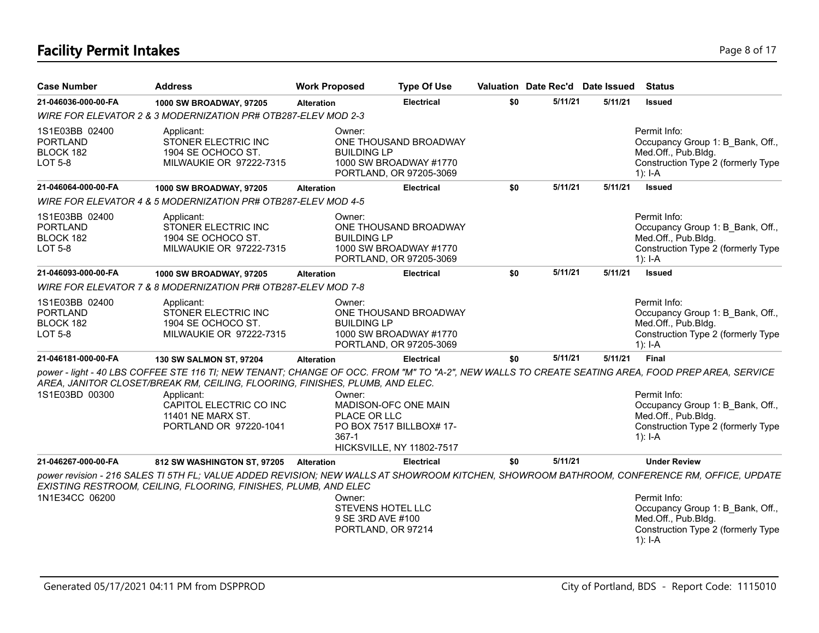# **Facility Permit Intakes** Page 8 of 17

| <b>Case Number</b>                                               | <b>Address</b>                                                                                                                                                                                                                                                                                                            | <b>Work Proposed</b>            | <b>Type Of Use</b>                                                                   |     | Valuation Date Rec'd Date Issued |         | <b>Status</b>                                                                                                                                                                                                                                                             |
|------------------------------------------------------------------|---------------------------------------------------------------------------------------------------------------------------------------------------------------------------------------------------------------------------------------------------------------------------------------------------------------------------|---------------------------------|--------------------------------------------------------------------------------------|-----|----------------------------------|---------|---------------------------------------------------------------------------------------------------------------------------------------------------------------------------------------------------------------------------------------------------------------------------|
| 21-046036-000-00-FA                                              | 1000 SW BROADWAY, 97205                                                                                                                                                                                                                                                                                                   | <b>Alteration</b>               | <b>Electrical</b>                                                                    | \$0 | 5/11/21                          | 5/11/21 | <b>Issued</b>                                                                                                                                                                                                                                                             |
|                                                                  | WIRE FOR ELEVATOR 2 & 3 MODERNIZATION PR# OTB287-ELEV MOD 2-3                                                                                                                                                                                                                                                             |                                 |                                                                                      |     |                                  |         |                                                                                                                                                                                                                                                                           |
| 1S1E03BB 02400<br><b>PORTLAND</b><br>BLOCK 182<br><b>LOT 5-8</b> | Applicant:<br>STONER ELECTRIC INC<br>1904 SE OCHOCO ST.<br>MILWAUKIE OR 97222-7315                                                                                                                                                                                                                                        | Owner:<br><b>BUILDING LP</b>    | ONE THOUSAND BROADWAY<br>1000 SW BROADWAY #1770<br>PORTLAND, OR 97205-3069           |     |                                  |         | Permit Info:<br>Occupancy Group 1: B_Bank, Off.,<br>Med.Off., Pub.Bldg.<br>Construction Type 2 (formerly Type<br>$1$ : I-A                                                                                                                                                |
| 21-046064-000-00-FA                                              | 1000 SW BROADWAY, 97205                                                                                                                                                                                                                                                                                                   | <b>Alteration</b>               | <b>Electrical</b>                                                                    | \$0 | 5/11/21                          | 5/11/21 | <b>Issued</b>                                                                                                                                                                                                                                                             |
|                                                                  | WIRE FOR ELEVATOR 4 & 5 MODERNIZATION PR# OTB287-ELEV MOD 4-5                                                                                                                                                                                                                                                             |                                 |                                                                                      |     |                                  |         |                                                                                                                                                                                                                                                                           |
| 1S1E03BB 02400<br><b>PORTLAND</b><br>BLOCK 182<br><b>LOT 5-8</b> | Applicant:<br>STONER ELECTRIC INC<br>1904 SE OCHOCO ST.<br>MILWAUKIE OR 97222-7315                                                                                                                                                                                                                                        | Owner:<br><b>BUILDING LP</b>    | ONE THOUSAND BROADWAY<br>1000 SW BROADWAY #1770<br>PORTLAND, OR 97205-3069           |     |                                  |         | Permit Info:<br>Occupancy Group 1: B Bank, Off.,<br>Med.Off., Pub.Bldg.<br>Construction Type 2 (formerly Type<br>1): $I - A$                                                                                                                                              |
| 21-046093-000-00-FA                                              | 1000 SW BROADWAY, 97205                                                                                                                                                                                                                                                                                                   | <b>Alteration</b>               | Electrical                                                                           | \$0 | 5/11/21                          | 5/11/21 | <b>Issued</b>                                                                                                                                                                                                                                                             |
|                                                                  | WIRE FOR ELEVATOR 7 & 8 MODERNIZATION PR# OTB287-ELEV MOD 7-8                                                                                                                                                                                                                                                             |                                 |                                                                                      |     |                                  |         |                                                                                                                                                                                                                                                                           |
| 1S1E03BB 02400<br><b>PORTLAND</b><br>BLOCK 182<br><b>LOT 5-8</b> | Applicant:<br>STONER ELECTRIC INC<br>1904 SE OCHOCO ST.<br>MILWAUKIE OR 97222-7315                                                                                                                                                                                                                                        | Owner:<br><b>BUILDING LP</b>    | ONE THOUSAND BROADWAY<br>1000 SW BROADWAY #1770<br>PORTLAND, OR 97205-3069           |     |                                  |         | Permit Info:<br>Occupancy Group 1: B Bank, Off.,<br>Med.Off., Pub.Bldg.<br>Construction Type 2 (formerly Type<br>$1$ : I-A                                                                                                                                                |
| 21-046181-000-00-FA                                              | 130 SW SALMON ST, 97204                                                                                                                                                                                                                                                                                                   | <b>Alteration</b>               | <b>Electrical</b>                                                                    | \$0 | 5/11/21                          | 5/11/21 | <b>Final</b>                                                                                                                                                                                                                                                              |
| 1S1E03BD 00300                                                   | power - light - 40 LBS COFFEE STE 116 TI; NEW TENANT; CHANGE OF OCC. FROM "M" TO "A-2", NEW WALLS TO CREATE SEATING AREA, FOOD PREP AREA, SERVICE<br>AREA, JANITOR CLOSET/BREAK RM, CEILING, FLOORING, FINISHES, PLUMB, AND ELEC.<br>Applicant:<br>CAPITOL ELECTRIC CO INC<br>11401 NE MARX ST.<br>PORTLAND OR 97220-1041 | Owner:<br>PLACE OR LLC<br>367-1 | MADISON-OFC ONE MAIN<br>PO BOX 7517 BILLBOX# 17-<br><b>HICKSVILLE, NY 11802-7517</b> |     |                                  |         | Permit Info:<br>Occupancy Group 1: B Bank, Off.,<br>Med.Off., Pub.Bldg.<br>Construction Type 2 (formerly Type<br>1): $I - A$                                                                                                                                              |
| 21-046267-000-00-FA                                              | 812 SW WASHINGTON ST, 97205                                                                                                                                                                                                                                                                                               | <b>Alteration</b>               | <b>Electrical</b>                                                                    | \$0 | 5/11/21                          |         | <b>Under Review</b>                                                                                                                                                                                                                                                       |
| 1N1E34CC 06200                                                   | EXISTING RESTROOM, CEILING, FLOORING, FINISHES, PLUMB, AND ELEC                                                                                                                                                                                                                                                           | Owner:                          | <b>STEVENS HOTEL LLC</b><br>9 SE 3RD AVE #100<br>PORTLAND, OR 97214                  |     |                                  |         | power revision - 216 SALES TI 5TH FL; VALUE ADDED REVISION; NEW WALLS AT SHOWROOM KITCHEN, SHOWROOM BATHROOM, CONFERENCE RM, OFFICE, UPDATE<br>Permit Info:<br>Occupancy Group 1: B Bank, Off.,<br>Med.Off., Pub.Bldg.<br>Construction Type 2 (formerly Type<br>$1$ : I-A |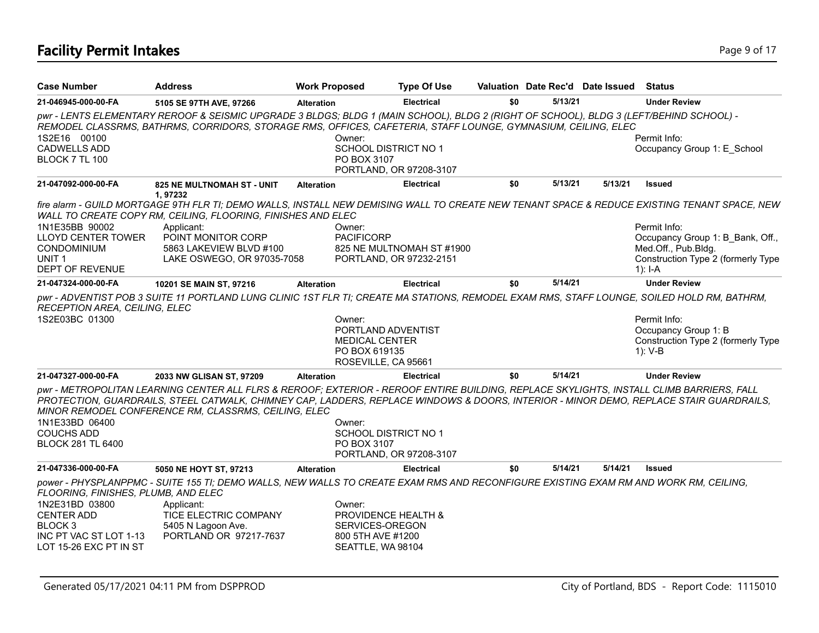# **Facility Permit Intakes** Page 9 of 17

| <b>Case Number</b>                                                                                            | <b>Address</b>                                                                                                                                                                                                                                                                                                                             | <b>Work Proposed</b>        | <b>Type Of Use</b>                                                                  |     | Valuation Date Rec'd Date Issued |         | <b>Status</b>                                                                                                                                |
|---------------------------------------------------------------------------------------------------------------|--------------------------------------------------------------------------------------------------------------------------------------------------------------------------------------------------------------------------------------------------------------------------------------------------------------------------------------------|-----------------------------|-------------------------------------------------------------------------------------|-----|----------------------------------|---------|----------------------------------------------------------------------------------------------------------------------------------------------|
| 21-046945-000-00-FA                                                                                           | 5105 SE 97TH AVE, 97266                                                                                                                                                                                                                                                                                                                    | <b>Alteration</b>           | <b>Electrical</b>                                                                   | \$0 | 5/13/21                          |         | <b>Under Review</b>                                                                                                                          |
|                                                                                                               | pwr - LENTS ELEMENTARY REROOF & SEISMIC UPGRADE 3 BLDGS; BLDG 1 (MAIN SCHOOL), BLDG 2 (RIGHT OF SCHOOL), BLDG 3 (LEFT/BEHIND SCHOOL) -<br>REMODEL CLASSRMS, BATHRMS, CORRIDORS, STORAGE RMS, OFFICES, CAFETERIA, STAFF LOUNGE, GYMNASIUM, CEILING, ELEC                                                                                    |                             |                                                                                     |     |                                  |         |                                                                                                                                              |
| 1S2E16 00100<br><b>CADWELLS ADD</b><br>BLOCK 7 TL 100                                                         |                                                                                                                                                                                                                                                                                                                                            | Owner:<br>PO BOX 3107       | <b>SCHOOL DISTRICT NO 1</b><br>PORTLAND, OR 97208-3107                              |     |                                  |         | Permit Info:<br>Occupancy Group 1: E School                                                                                                  |
| 21-047092-000-00-FA                                                                                           | <b>825 NE MULTNOMAH ST - UNIT</b><br>1,97232                                                                                                                                                                                                                                                                                               | <b>Alteration</b>           | <b>Electrical</b>                                                                   | \$0 | 5/13/21                          | 5/13/21 | <b>Issued</b>                                                                                                                                |
|                                                                                                               | WALL TO CREATE COPY RM, CEILING, FLOORING, FINISHES AND ELEC                                                                                                                                                                                                                                                                               |                             |                                                                                     |     |                                  |         | fire alarm - GUILD MORTGAGE 9TH FLR TI; DEMO WALLS, INSTALL NEW DEMISING WALL TO CREATE NEW TENANT SPACE & REDUCE EXISTING TENANT SPACE, NEW |
| 1N1E35BB 90002<br><b>LLOYD CENTER TOWER</b><br>CONDOMINIUM<br>UNIT <sub>1</sub><br><b>DEPT OF REVENUE</b>     | Applicant:<br>POINT MONITOR CORP<br>5863 LAKEVIEW BLVD #100<br>LAKE OSWEGO, OR 97035-7058                                                                                                                                                                                                                                                  | Owner:<br><b>PACIFICORP</b> | 825 NE MULTNOMAH ST #1900<br>PORTLAND, OR 97232-2151                                |     |                                  |         | Permit Info:<br>Occupancy Group 1: B_Bank, Off.,<br>Med.Off., Pub.Bldg.<br>Construction Type 2 (formerly Type<br>$1$ : I-A                   |
| 21-047324-000-00-FA                                                                                           | 10201 SE MAIN ST, 97216                                                                                                                                                                                                                                                                                                                    | <b>Alteration</b>           | <b>Electrical</b>                                                                   | \$0 | 5/14/21                          |         | <b>Under Review</b>                                                                                                                          |
| RECEPTION AREA, CEILING, ELEC<br>1S2E03BC 01300                                                               | pwr - ADVENTIST POB 3 SUITE 11 PORTLAND LUNG CLINIC 1ST FLR TI; CREATE MA STATIONS, REMODEL EXAM RMS, STAFF LOUNGE, SOILED HOLD RM, BATHRM,                                                                                                                                                                                                | Owner:                      | PORTLAND ADVENTIST<br><b>MEDICAL CENTER</b><br>PO BOX 619135<br>ROSEVILLE, CA 95661 |     |                                  |         | Permit Info:<br>Occupancy Group 1: B<br>Construction Type 2 (formerly Type<br>$1): V-B$                                                      |
| 21-047327-000-00-FA                                                                                           | 2033 NW GLISAN ST, 97209                                                                                                                                                                                                                                                                                                                   | <b>Alteration</b>           | <b>Electrical</b>                                                                   | \$0 | 5/14/21                          |         | <b>Under Review</b>                                                                                                                          |
| 1N1E33BD 06400<br><b>COUCHS ADD</b><br><b>BLOCK 281 TL 6400</b>                                               | pwr - METROPOLITAN LEARNING CENTER ALL FLRS & REROOF; EXTERIOR - REROOF ENTIRE BUILDING, REPLACE SKYLIGHTS, INSTALL CLIMB BARRIERS, FALL<br>PROTECTION, GUARDRAILS, STEEL CATWALK, CHIMNEY CAP, LADDERS, REPLACE WINDOWS & DOORS, INTERIOR - MINOR DEMO, REPLACE STAIR GUARDRAILS,<br>MINOR REMODEL CONFERENCE RM, CLASSRMS, CEILING, ELEC | Owner:<br>PO BOX 3107       | SCHOOL DISTRICT NO 1<br>PORTLAND, OR 97208-3107                                     |     |                                  |         |                                                                                                                                              |
| 21-047336-000-00-FA                                                                                           | 5050 NE HOYT ST, 97213                                                                                                                                                                                                                                                                                                                     | <b>Alteration</b>           | <b>Electrical</b>                                                                   | \$0 | 5/14/21                          | 5/14/21 | <b>Issued</b>                                                                                                                                |
| FLOORING, FINISHES, PLUMB, AND ELEC                                                                           | power - PHYSPLANPPMC - SUITE 155 TI; DEMO WALLS, NEW WALLS TO CREATE EXAM RMS AND RECONFIGURE EXISTING EXAM RM AND WORK RM, CEILING,                                                                                                                                                                                                       |                             |                                                                                     |     |                                  |         |                                                                                                                                              |
| 1N2E31BD 03800<br><b>CENTER ADD</b><br>BLOCK <sub>3</sub><br>INC PT VAC ST LOT 1-13<br>LOT 15-26 EXC PT IN ST | Applicant:<br>TICE ELECTRIC COMPANY<br>5405 N Lagoon Ave.<br>PORTLAND OR 97217-7637                                                                                                                                                                                                                                                        | Owner:                      | PROVIDENCE HEALTH &<br>SERVICES-OREGON<br>800 5TH AVE #1200<br>SEATTLE, WA 98104    |     |                                  |         |                                                                                                                                              |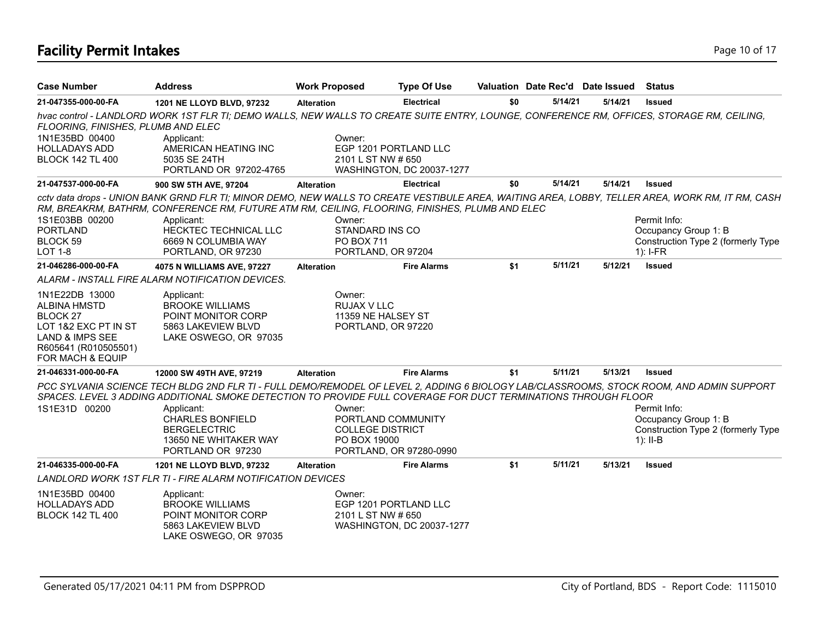# **Facility Permit Intakes** Page 10 of 17

| <b>Case Number</b>                                                                                                                                                        | <b>Address</b>                                                                                                                                                                                                               | <b>Work Proposed</b>                                                    | <b>Type Of Use</b>                                 |     | Valuation Date Rec'd Date Issued |         | <b>Status</b>                                                                                                                                                                                                                                |
|---------------------------------------------------------------------------------------------------------------------------------------------------------------------------|------------------------------------------------------------------------------------------------------------------------------------------------------------------------------------------------------------------------------|-------------------------------------------------------------------------|----------------------------------------------------|-----|----------------------------------|---------|----------------------------------------------------------------------------------------------------------------------------------------------------------------------------------------------------------------------------------------------|
| 21-047355-000-00-FA                                                                                                                                                       | 1201 NE LLOYD BLVD, 97232                                                                                                                                                                                                    | <b>Alteration</b>                                                       | <b>Electrical</b>                                  | \$0 | 5/14/21                          | 5/14/21 | <b>Issued</b>                                                                                                                                                                                                                                |
| FLOORING, FINISHES, PLUMB AND ELEC<br>1N1E35BD 00400<br><b>HOLLADAYS ADD</b><br><b>BLOCK 142 TL 400</b>                                                                   | hvac control - LANDLORD WORK 1ST FLR TI; DEMO WALLS, NEW WALLS TO CREATE SUITE ENTRY, LOUNGE, CONFERENCE RM, OFFICES, STORAGE RM, CEILING,<br>Applicant:<br>AMERICAN HEATING INC<br>5035 SE 24TH<br>PORTLAND OR 97202-4765   | Owner:<br>2101 L ST NW # 650                                            | EGP 1201 PORTLAND LLC<br>WASHINGTON, DC 20037-1277 |     |                                  |         |                                                                                                                                                                                                                                              |
| 21-047537-000-00-FA                                                                                                                                                       | 900 SW 5TH AVE, 97204                                                                                                                                                                                                        | <b>Alteration</b>                                                       | <b>Electrical</b>                                  | \$0 | 5/14/21                          | 5/14/21 | <b>Issued</b>                                                                                                                                                                                                                                |
| 1S1E03BB 00200<br><b>PORTLAND</b><br>BLOCK 59<br><b>LOT 1-8</b>                                                                                                           | RM, BREAKRM, BATHRM, CONFERENCE RM, FUTURE ATM RM, CEILING, FLOORING, FINISHES, PLUMB AND ELEC<br>Applicant:<br>HECKTEC TECHNICAL LLC<br>6669 N COLUMBIA WAY<br>PORTLAND, OR 97230                                           | Owner:<br>STANDARD INS CO<br><b>PO BOX 711</b><br>PORTLAND, OR 97204    |                                                    |     |                                  |         | cctv data drops - UNION BANK GRND FLR TI; MINOR DEMO, NEW WALLS TO CREATE VESTIBULE AREA, WAITING AREA, LOBBY, TELLER AREA, WORK RM, IT RM, CASH<br>Permit Info:<br>Occupancy Group 1: B<br>Construction Type 2 (formerly Type<br>$1$ : I-FR |
| 21-046286-000-00-FA                                                                                                                                                       | 4075 N WILLIAMS AVE, 97227                                                                                                                                                                                                   | <b>Alteration</b>                                                       | <b>Fire Alarms</b>                                 | \$1 | 5/11/21                          | 5/12/21 | <b>Issued</b>                                                                                                                                                                                                                                |
|                                                                                                                                                                           | ALARM - INSTALL FIRE ALARM NOTIFICATION DEVICES.                                                                                                                                                                             |                                                                         |                                                    |     |                                  |         |                                                                                                                                                                                                                                              |
| 1N1E22DB 13000<br><b>ALBINA HMSTD</b><br>BLOCK <sub>27</sub><br>LOT 1&2 EXC PT IN ST<br><b>LAND &amp; IMPS SEE</b><br>R605641 (R010505501)<br><b>FOR MACH &amp; EQUIP</b> | Applicant:<br><b>BROOKE WILLIAMS</b><br>POINT MONITOR CORP<br>5863 LAKEVIEW BLVD<br>LAKE OSWEGO, OR 97035                                                                                                                    | Owner:<br>RUJAX V LLC<br>11359 NE HALSEY ST<br>PORTLAND, OR 97220       |                                                    |     |                                  |         |                                                                                                                                                                                                                                              |
| 21-046331-000-00-FA                                                                                                                                                       | 12000 SW 49TH AVE, 97219                                                                                                                                                                                                     | <b>Alteration</b>                                                       | <b>Fire Alarms</b>                                 | \$1 | 5/11/21                          | 5/13/21 | <b>Issued</b>                                                                                                                                                                                                                                |
| 1S1E31D 00200                                                                                                                                                             | SPACES. LEVEL 3 ADDING ADDITIONAL SMOKE DETECTION TO PROVIDE FULL COVERAGE FOR DUCT TERMINATIONS THROUGH FLOOR<br>Applicant:<br><b>CHARLES BONFIELD</b><br><b>BERGELECTRIC</b><br>13650 NE WHITAKER WAY<br>PORTLAND OR 97230 | Owner:<br>PORTLAND COMMUNITY<br><b>COLLEGE DISTRICT</b><br>PO BOX 19000 | PORTLAND, OR 97280-0990                            |     |                                  |         | PCC SYLVANIA SCIENCE TECH BLDG 2ND FLR TI - FULL DEMO/REMODEL OF LEVEL 2, ADDING 6 BIOLOGY LAB/CLASSROOMS, STOCK ROOM, AND ADMIN SUPPORT<br>Permit Info:<br>Occupancy Group 1: B<br>Construction Type 2 (formerly Type<br>$1$ : II-B         |
| 21-046335-000-00-FA                                                                                                                                                       | 1201 NE LLOYD BLVD, 97232                                                                                                                                                                                                    | <b>Alteration</b>                                                       | <b>Fire Alarms</b>                                 | \$1 | 5/11/21                          | 5/13/21 | <b>Issued</b>                                                                                                                                                                                                                                |
|                                                                                                                                                                           | <b>LANDLORD WORK 1ST FLR TI - FIRE ALARM NOTIFICATION DEVICES</b>                                                                                                                                                            |                                                                         |                                                    |     |                                  |         |                                                                                                                                                                                                                                              |
| 1N1E35BD 00400<br><b>HOLLADAYS ADD</b><br><b>BLOCK 142 TL 400</b>                                                                                                         | Applicant:<br><b>BROOKE WILLIAMS</b><br>POINT MONITOR CORP<br>5863 LAKEVIEW BLVD<br>LAKE OSWEGO, OR 97035                                                                                                                    | Owner:<br>2101 L ST NW # 650                                            | EGP 1201 PORTLAND LLC<br>WASHINGTON, DC 20037-1277 |     |                                  |         |                                                                                                                                                                                                                                              |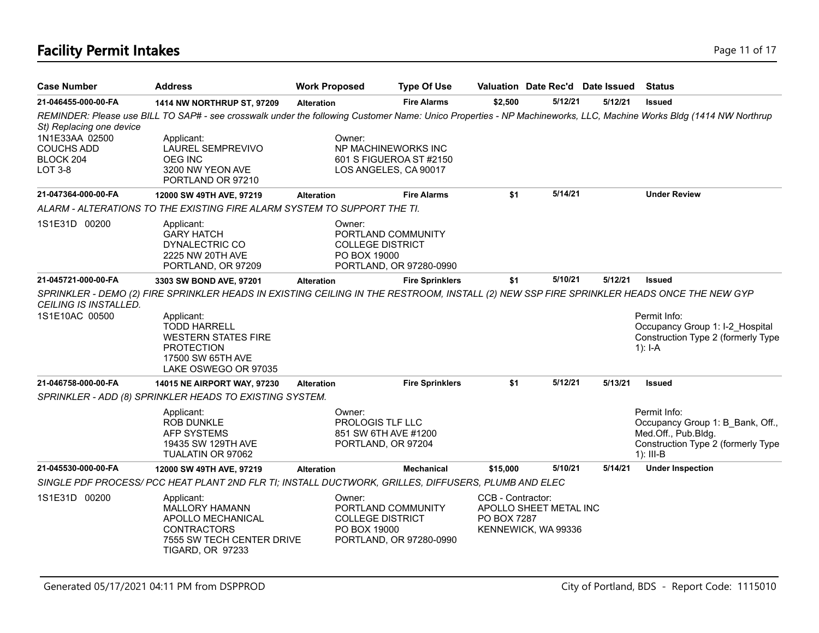# **Facility Permit Intakes** Page 11 of 17

| <b>Case Number</b>                                                 | <b>Address</b>                                                                                                                                                                                                                                        | <b>Work Proposed</b> |                                                                                   | <b>Type Of Use</b>      | Valuation Date Rec'd Date Issued                                                  |         |         | <b>Status</b>                                                                                                                |
|--------------------------------------------------------------------|-------------------------------------------------------------------------------------------------------------------------------------------------------------------------------------------------------------------------------------------------------|----------------------|-----------------------------------------------------------------------------------|-------------------------|-----------------------------------------------------------------------------------|---------|---------|------------------------------------------------------------------------------------------------------------------------------|
| 21-046455-000-00-FA                                                | 1414 NW NORTHRUP ST, 97209                                                                                                                                                                                                                            | <b>Alteration</b>    |                                                                                   | <b>Fire Alarms</b>      | \$2,500                                                                           | 5/12/21 | 5/12/21 | <b>Issued</b>                                                                                                                |
| St) Replacing one device                                           | REMINDER: Please use BILL TO SAP# - see crosswalk under the following Customer Name: Unico Properties - NP Machineworks, LLC, Machine Works Bldg (1414 NW Northrup                                                                                    |                      |                                                                                   |                         |                                                                                   |         |         |                                                                                                                              |
| 1N1E33AA 02500<br><b>COUCHS ADD</b><br>BLOCK 204<br><b>LOT 3-8</b> | Applicant:<br><b>LAUREL SEMPREVIVO</b><br><b>OEG INC</b><br>3200 NW YEON AVE<br>PORTLAND OR 97210                                                                                                                                                     |                      | Owner:<br>NP MACHINEWORKS INC<br>601 S FIGUEROA ST #2150<br>LOS ANGELES, CA 90017 |                         |                                                                                   |         |         |                                                                                                                              |
| 21-047364-000-00-FA                                                | 12000 SW 49TH AVE, 97219                                                                                                                                                                                                                              | <b>Alteration</b>    |                                                                                   | <b>Fire Alarms</b>      | \$1                                                                               | 5/14/21 |         | <b>Under Review</b>                                                                                                          |
|                                                                    | ALARM - ALTERATIONS TO THE EXISTING FIRE ALARM SYSTEM TO SUPPORT THE TI.                                                                                                                                                                              |                      |                                                                                   |                         |                                                                                   |         |         |                                                                                                                              |
| 1S1E31D 00200                                                      | Applicant:<br><b>GARY HATCH</b><br>DYNALECTRIC CO<br>2225 NW 20TH AVE<br>PORTLAND, OR 97209                                                                                                                                                           |                      | Owner:<br>PORTLAND COMMUNITY<br><b>COLLEGE DISTRICT</b><br>PO BOX 19000           | PORTLAND, OR 97280-0990 |                                                                                   |         |         |                                                                                                                              |
| 21-045721-000-00-FA                                                | 3303 SW BOND AVE, 97201                                                                                                                                                                                                                               | <b>Alteration</b>    |                                                                                   | <b>Fire Sprinklers</b>  | \$1                                                                               | 5/10/21 | 5/12/21 | <b>Issued</b>                                                                                                                |
| CEILING IS INSTALLED.<br>1S1E10AC 00500                            | SPRINKLER - DEMO (2) FIRE SPRINKLER HEADS IN EXISTING CEILING IN THE RESTROOM, INSTALL (2) NEW SSP FIRE SPRINKLER HEADS ONCE THE NEW GYP<br>Applicant:<br><b>TODD HARRELL</b><br><b>WESTERN STATES FIRE</b><br><b>PROTECTION</b><br>17500 SW 65TH AVE |                      |                                                                                   |                         |                                                                                   |         |         | Permit Info:<br>Occupancy Group 1: I-2 Hospital<br>Construction Type 2 (formerly Type<br>$1$ : I-A                           |
|                                                                    | LAKE OSWEGO OR 97035                                                                                                                                                                                                                                  |                      |                                                                                   |                         |                                                                                   | 5/12/21 | 5/13/21 |                                                                                                                              |
| 21-046758-000-00-FA                                                | <b>14015 NE AIRPORT WAY, 97230</b>                                                                                                                                                                                                                    | <b>Alteration</b>    |                                                                                   | <b>Fire Sprinklers</b>  | \$1                                                                               |         |         | <b>Issued</b>                                                                                                                |
|                                                                    | SPRINKLER - ADD (8) SPRINKLER HEADS TO EXISTING SYSTEM.<br>Applicant:<br><b>ROB DUNKLE</b><br><b>AFP SYSTEMS</b><br>19435 SW 129TH AVE<br>TUALATIN OR 97062                                                                                           |                      | Owner:<br>PROLOGIS TLF LLC<br>851 SW 6TH AVE #1200<br>PORTLAND, OR 97204          |                         |                                                                                   |         |         | Permit Info:<br>Occupancy Group 1: B Bank, Off.,<br>Med.Off., Pub.Bldg.<br>Construction Type 2 (formerly Type<br>$1$ : III-B |
| 21-045530-000-00-FA                                                | 12000 SW 49TH AVE, 97219                                                                                                                                                                                                                              | <b>Alteration</b>    |                                                                                   | <b>Mechanical</b>       | \$15,000                                                                          | 5/10/21 | 5/14/21 | <b>Under Inspection</b>                                                                                                      |
|                                                                    | SINGLE PDF PROCESS/ PCC HEAT PLANT 2ND FLR TI; INSTALL DUCTWORK, GRILLES, DIFFUSERS, PLUMB AND ELEC                                                                                                                                                   |                      |                                                                                   |                         |                                                                                   |         |         |                                                                                                                              |
| 1S1E31D 00200                                                      | Applicant:<br><b>MALLORY HAMANN</b><br>APOLLO MECHANICAL<br><b>CONTRACTORS</b><br>7555 SW TECH CENTER DRIVE<br><b>TIGARD, OR 97233</b>                                                                                                                |                      | Owner:<br>PORTLAND COMMUNITY<br><b>COLLEGE DISTRICT</b><br>PO BOX 19000           | PORTLAND, OR 97280-0990 | CCB - Contractor:<br>APOLLO SHEET METAL INC<br>PO BOX 7287<br>KENNEWICK, WA 99336 |         |         |                                                                                                                              |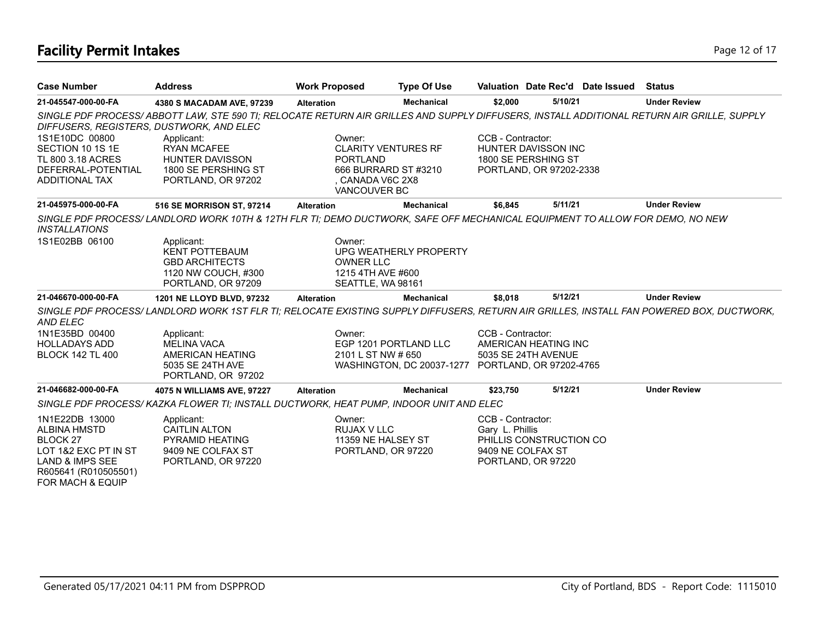# **Facility Permit Intakes** Page 12 of 17

| <b>Case Number</b>                                                                                                                                         | <b>Address</b>                                                                                                                            | <b>Work Proposed</b>                                                 | <b>Type Of Use</b>                                 |                                                                                 |                                                                       | Valuation Date Rec'd Date Issued | Status              |
|------------------------------------------------------------------------------------------------------------------------------------------------------------|-------------------------------------------------------------------------------------------------------------------------------------------|----------------------------------------------------------------------|----------------------------------------------------|---------------------------------------------------------------------------------|-----------------------------------------------------------------------|----------------------------------|---------------------|
| 21-045547-000-00-FA                                                                                                                                        | 4380 S MACADAM AVE, 97239                                                                                                                 | <b>Alteration</b>                                                    | Mechanical                                         | \$2,000                                                                         | 5/10/21                                                               |                                  | <b>Under Review</b> |
| DIFFUSERS, REGISTERS, DUSTWORK, AND ELEC                                                                                                                   | SINGLE PDF PROCESS/ABBOTT LAW, STE 590 TI; RELOCATE RETURN AIR GRILLES AND SUPPLY DIFFUSERS, INSTALL ADDITIONAL RETURN AIR GRILLE, SUPPLY |                                                                      |                                                    |                                                                                 |                                                                       |                                  |                     |
| 1S1E10DC 00800<br>SECTION 10 1S 1E<br>TL 800 3.18 ACRES<br>DEFERRAL-POTENTIAL<br>ADDITIONAL TAX                                                            | Applicant:<br><b>RYAN MCAFEE</b><br><b>HUNTER DAVISSON</b><br>1800 SE PERSHING ST<br>PORTLAND, OR 97202                                   | Owner:<br><b>PORTLAND</b><br>. CANADA V6C 2X8<br><b>VANCOUVER BC</b> | <b>CLARITY VENTURES RF</b><br>666 BURRARD ST #3210 | CCB - Contractor:                                                               | HUNTER DAVISSON INC<br>1800 SE PERSHING ST<br>PORTLAND, OR 97202-2338 |                                  |                     |
| 21-045975-000-00-FA                                                                                                                                        | 516 SE MORRISON ST, 97214                                                                                                                 | <b>Alteration</b>                                                    | <b>Mechanical</b>                                  | \$6,845                                                                         | 5/11/21                                                               |                                  | <b>Under Review</b> |
| <i><b>INSTALLATIONS</b></i>                                                                                                                                | SINGLE PDF PROCESS/LANDLORD WORK 10TH & 12TH FLR TI; DEMO DUCTWORK, SAFE OFF MECHANICAL EQUIPMENT TO ALLOW FOR DEMO, NO NEW               |                                                                      |                                                    |                                                                                 |                                                                       |                                  |                     |
| 1S1E02BB 06100                                                                                                                                             | Applicant:<br><b>KENT POTTEBAUM</b><br><b>GBD ARCHITECTS</b><br>1120 NW COUCH, #300<br>PORTLAND, OR 97209                                 | Owner:<br><b>OWNER LLC</b><br>1215 4TH AVE #600                      | UPG WEATHERLY PROPERTY<br>SEATTLE, WA 98161        |                                                                                 |                                                                       |                                  |                     |
| 21-046670-000-00-FA                                                                                                                                        | 1201 NE LLOYD BLVD, 97232                                                                                                                 | <b>Alteration</b>                                                    | <b>Mechanical</b>                                  | \$8,018                                                                         | 5/12/21                                                               |                                  | <b>Under Review</b> |
| <b>AND ELEC</b>                                                                                                                                            | SINGLE PDF PROCESS/LANDLORD WORK 1ST FLR TI; RELOCATE EXISTING SUPPLY DIFFUSERS, RETURN AIR GRILLES, INSTALL FAN POWERED BOX, DUCTWORK,   |                                                                      |                                                    |                                                                                 |                                                                       |                                  |                     |
| 1N1E35BD 00400                                                                                                                                             | Applicant:                                                                                                                                | Owner:                                                               |                                                    | CCB - Contractor:                                                               |                                                                       |                                  |                     |
| <b>HOLLADAYS ADD</b><br><b>BLOCK 142 TL 400</b>                                                                                                            | <b>MELINA VACA</b><br>AMERICAN HEATING                                                                                                    |                                                                      | EGP 1201 PORTLAND LLC<br>2101 L ST NW # 650        |                                                                                 | AMERICAN HEATING INC<br>5035 SE 24TH AVENUE                           |                                  |                     |
|                                                                                                                                                            | 5035 SE 24TH AVE<br>PORTLAND, OR 97202                                                                                                    |                                                                      | WASHINGTON, DC 20037-1277 PORTLAND, OR 97202-4765  |                                                                                 |                                                                       |                                  |                     |
| 21-046682-000-00-FA                                                                                                                                        | 4075 N WILLIAMS AVE, 97227                                                                                                                | <b>Alteration</b>                                                    | <b>Mechanical</b>                                  | \$23,750                                                                        | 5/12/21                                                               |                                  | <b>Under Review</b> |
|                                                                                                                                                            | SINGLE PDF PROCESS/ KAZKA FLOWER TI; INSTALL DUCTWORK, HEAT PUMP, INDOOR UNIT AND ELEC                                                    |                                                                      |                                                    |                                                                                 |                                                                       |                                  |                     |
| 1N1E22DB 13000<br><b>ALBINA HMSTD</b><br><b>BLOCK 27</b><br>LOT 1&2 EXC PT IN ST<br><b>LAND &amp; IMPS SEE</b><br>R605641 (R010505501)<br>FOR MACH & EQUIP | Applicant:<br><b>CAITLIN ALTON</b><br>PYRAMID HEATING<br>9409 NE COLFAX ST<br>PORTLAND, OR 97220                                          | Owner:<br>RUJAX V LLC                                                | 11359 NE HALSEY ST<br>PORTLAND, OR 97220           | CCB - Contractor:<br>Gary L. Phillis<br>9409 NE COLFAX ST<br>PORTLAND, OR 97220 | PHILLIS CONSTRUCTION CO                                               |                                  |                     |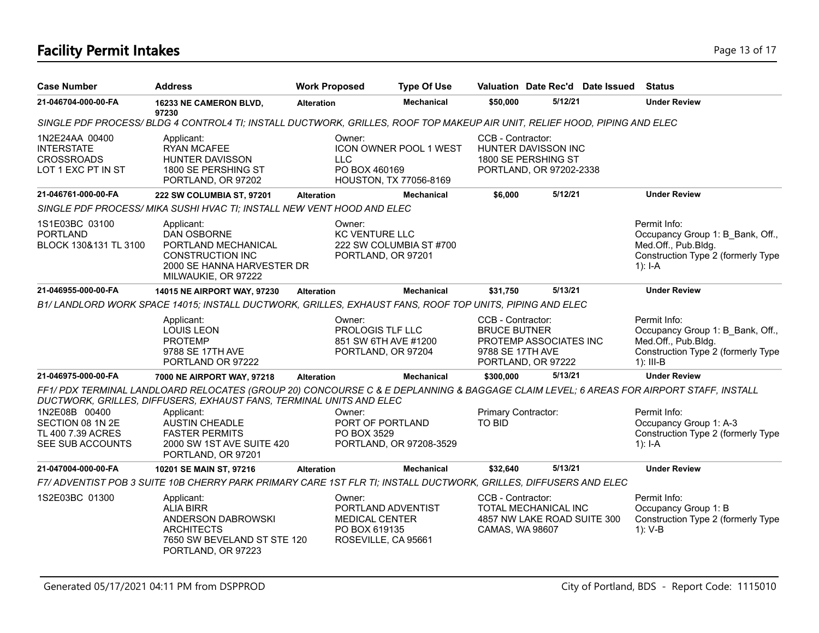# **Facility Permit Intakes** Page 13 of 17

| <b>Case Number</b>                                                             | <b>Address</b>                                                                                                                                                                                              | <b>Work Proposed</b>  | <b>Type Of Use</b>                                                                  |                                                              |                                                                       | Valuation Date Rec'd Date Issued | <b>Status</b>                                                                                                                |
|--------------------------------------------------------------------------------|-------------------------------------------------------------------------------------------------------------------------------------------------------------------------------------------------------------|-----------------------|-------------------------------------------------------------------------------------|--------------------------------------------------------------|-----------------------------------------------------------------------|----------------------------------|------------------------------------------------------------------------------------------------------------------------------|
| 21-046704-000-00-FA                                                            | 16233 NE CAMERON BLVD,<br>97230                                                                                                                                                                             | <b>Alteration</b>     | <b>Mechanical</b>                                                                   | \$50,000                                                     | 5/12/21                                                               |                                  | <b>Under Review</b>                                                                                                          |
|                                                                                | SINGLE PDF PROCESS/BLDG 4 CONTROL4 TI; INSTALL DUCTWORK, GRILLES, ROOF TOP MAKEUP AIR UNIT, RELIEF HOOD, PIPING AND ELEC                                                                                    |                       |                                                                                     |                                                              |                                                                       |                                  |                                                                                                                              |
| 1N2E24AA 00400<br><b>INTERSTATE</b><br><b>CROSSROADS</b><br>LOT 1 EXC PT IN ST | Applicant:<br><b>RYAN MCAFEE</b><br>HUNTER DAVISSON<br>1800 SE PERSHING ST<br>PORTLAND, OR 97202                                                                                                            | Owner:<br><b>LLC</b>  | <b>ICON OWNER POOL 1 WEST</b><br>PO BOX 460169<br>HOUSTON, TX 77056-8169            | CCB - Contractor:                                            | HUNTER DAVISSON INC<br>1800 SE PERSHING ST<br>PORTLAND, OR 97202-2338 |                                  |                                                                                                                              |
| 21-046761-000-00-FA                                                            | 222 SW COLUMBIA ST, 97201                                                                                                                                                                                   | <b>Alteration</b>     | <b>Mechanical</b>                                                                   | \$6,000                                                      | 5/12/21                                                               |                                  | <b>Under Review</b>                                                                                                          |
|                                                                                | SINGLE PDF PROCESS/MIKA SUSHI HVAC TI; INSTALL NEW VENT HOOD AND ELEC                                                                                                                                       |                       |                                                                                     |                                                              |                                                                       |                                  |                                                                                                                              |
| 1S1E03BC 03100<br><b>PORTLAND</b><br>BLOCK 130&131 TL 3100                     | Applicant:<br>DAN OSBORNE<br>PORTLAND MECHANICAL<br><b>CONSTRUCTION INC</b><br>2000 SE HANNA HARVESTER DR<br>MILWAUKIE, OR 97222                                                                            | Owner:                | KC VENTURE LLC<br>222 SW COLUMBIA ST #700<br>PORTLAND, OR 97201                     |                                                              |                                                                       |                                  | Permit Info:<br>Occupancy Group 1: B Bank, Off.,<br>Med.Off., Pub.Bldg.<br>Construction Type 2 (formerly Type<br>$1$ : I-A   |
| 21-046955-000-00-FA                                                            | 14015 NE AIRPORT WAY, 97230                                                                                                                                                                                 | <b>Alteration</b>     | <b>Mechanical</b>                                                                   | \$31,750                                                     | 5/13/21                                                               |                                  | <b>Under Review</b>                                                                                                          |
|                                                                                | B1/LANDLORD WORK SPACE 14015; INSTALL DUCTWORK, GRILLES, EXHAUST FANS, ROOF TOP UNITS, PIPING AND ELEC                                                                                                      |                       |                                                                                     |                                                              |                                                                       |                                  |                                                                                                                              |
|                                                                                | Applicant:<br><b>LOUIS LEON</b><br><b>PROTEMP</b><br>9788 SE 17TH AVE<br>PORTLAND OR 97222                                                                                                                  | Owner:                | PROLOGIS TLF LLC<br>851 SW 6TH AVE #1200<br>PORTLAND, OR 97204                      | CCB - Contractor:<br><b>BRUCE BUTNER</b><br>9788 SE 17TH AVE | PROTEMP ASSOCIATES INC<br>PORTLAND, OR 97222                          |                                  | Permit Info:<br>Occupancy Group 1: B Bank, Off.,<br>Med.Off., Pub.Bldg.<br>Construction Type 2 (formerly Type<br>$1$ : III-B |
| 21-046975-000-00-FA                                                            | 7000 NE AIRPORT WAY, 97218                                                                                                                                                                                  | <b>Alteration</b>     | <b>Mechanical</b>                                                                   | \$300,000                                                    | 5/13/21                                                               |                                  | <b>Under Review</b>                                                                                                          |
|                                                                                | FF1/PDX TERMINAL LANDLOARD RELOCATES (GROUP 20) CONCOURSE C & E DEPLANNING & BAGGAGE CLAIM LEVEL; 6 AREAS FOR AIRPORT STAFF, INSTALL<br>DUCTWORK, GRILLES, DIFFUSERS, EXHAUST FANS, TERMINAL UNITS AND ELEC |                       |                                                                                     |                                                              |                                                                       |                                  |                                                                                                                              |
| 1N2E08B 00400<br>SECTION 08 1N 2E<br>TL 400 7.39 ACRES<br>SEE SUB ACCOUNTS     | Applicant:<br><b>AUSTIN CHEADLE</b><br><b>FASTER PERMITS</b><br>2000 SW 1ST AVE SUITE 420<br>PORTLAND, OR 97201                                                                                             | Owner:<br>PO BOX 3529 | PORT OF PORTLAND<br>PORTLAND, OR 97208-3529                                         | Primary Contractor:<br>TO BID                                |                                                                       |                                  | Permit Info:<br>Occupancy Group 1: A-3<br>Construction Type 2 (formerly Type<br>$1$ : I-A                                    |
| 21-047004-000-00-FA                                                            | 10201 SE MAIN ST, 97216                                                                                                                                                                                     | <b>Alteration</b>     | <b>Mechanical</b>                                                                   | \$32,640                                                     | 5/13/21                                                               |                                  | <b>Under Review</b>                                                                                                          |
|                                                                                | F7/ ADVENTIST POB 3 SUITE 10B CHERRY PARK PRIMARY CARE 1ST FLR TI; INSTALL DUCTWORK, GRILLES, DIFFUSERS AND ELEC                                                                                            |                       |                                                                                     |                                                              |                                                                       |                                  |                                                                                                                              |
| 1S2E03BC 01300                                                                 | Applicant:<br><b>ALIA BIRR</b><br>ANDERSON DABROWSKI<br><b>ARCHITECTS</b><br>7650 SW BEVELAND ST STE 120<br>PORTLAND, OR 97223                                                                              | Owner:                | PORTLAND ADVENTIST<br><b>MEDICAL CENTER</b><br>PO BOX 619135<br>ROSEVILLE, CA 95661 | CCB - Contractor:<br>CAMAS, WA 98607                         | TOTAL MECHANICAL INC<br>4857 NW LAKE ROAD SUITE 300                   |                                  | Permit Info:<br>Occupancy Group 1: B<br>Construction Type 2 (formerly Type<br>$1)$ : V-B                                     |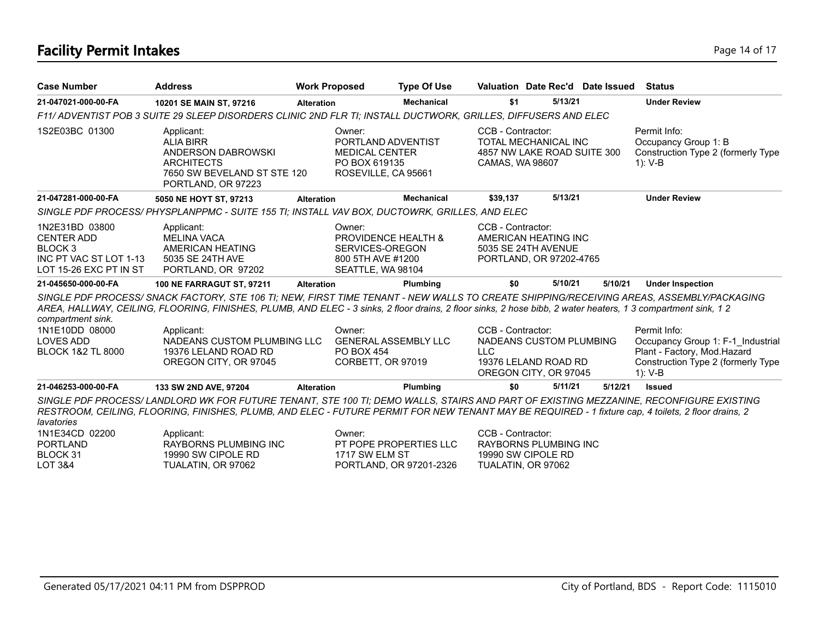# **Facility Permit Intakes** Page 14 of 17

| <b>Case Number</b>                                                                                            | <b>Address</b>                                                                                                                                                                                                                                                                                            | <b>Work Proposed</b> |                                                                                                       | <b>Type Of Use</b>                                | Valuation Date Rec'd Date Issued                                                                            |         |         | <b>Status</b>                                                                                                                       |
|---------------------------------------------------------------------------------------------------------------|-----------------------------------------------------------------------------------------------------------------------------------------------------------------------------------------------------------------------------------------------------------------------------------------------------------|----------------------|-------------------------------------------------------------------------------------------------------|---------------------------------------------------|-------------------------------------------------------------------------------------------------------------|---------|---------|-------------------------------------------------------------------------------------------------------------------------------------|
| 21-047021-000-00-FA                                                                                           | 10201 SE MAIN ST, 97216                                                                                                                                                                                                                                                                                   | <b>Alteration</b>    |                                                                                                       | Mechanical                                        | \$1                                                                                                         | 5/13/21 |         | <b>Under Review</b>                                                                                                                 |
|                                                                                                               | F11/ ADVENTIST POB 3 SUITE 29 SLEEP DISORDERS CLINIC 2ND FLR TI; INSTALL DUCTWORK, GRILLES, DIFFUSERS AND ELEC                                                                                                                                                                                            |                      |                                                                                                       |                                                   |                                                                                                             |         |         |                                                                                                                                     |
| 1S2E03BC 01300                                                                                                | Applicant:<br><b>ALIA BIRR</b><br>ANDERSON DABROWSKI<br><b>ARCHITECTS</b><br>7650 SW BEVELAND ST STE 120<br>PORTLAND, OR 97223                                                                                                                                                                            |                      | Owner:<br>PORTLAND ADVENTIST<br><b>MEDICAL CENTER</b><br>PO BOX 619135<br>ROSEVILLE, CA 95661         |                                                   | CCB - Contractor:<br>TOTAL MECHANICAL INC<br>4857 NW LAKE ROAD SUITE 300<br>CAMAS, WA 98607                 |         |         | Permit Info:<br>Occupancy Group 1: B<br>Construction Type 2 (formerly Type<br>$1): V-B$                                             |
| 21-047281-000-00-FA                                                                                           | 5050 NE HOYT ST, 97213                                                                                                                                                                                                                                                                                    | <b>Alteration</b>    |                                                                                                       | <b>Mechanical</b>                                 | \$39,137                                                                                                    | 5/13/21 |         | <b>Under Review</b>                                                                                                                 |
|                                                                                                               | SINGLE PDF PROCESS/PHYSPLANPPMC - SUITE 155 TI; INSTALL VAV BOX, DUCTOWRK, GRILLES, AND ELEC                                                                                                                                                                                                              |                      |                                                                                                       |                                                   |                                                                                                             |         |         |                                                                                                                                     |
| 1N2E31BD 03800<br><b>CENTER ADD</b><br>BLOCK <sub>3</sub><br>INC PT VAC ST LOT 1-13<br>LOT 15-26 EXC PT IN ST | Applicant:<br><b>MELINA VACA</b><br>AMERICAN HEATING<br>5035 SE 24TH AVE<br>PORTLAND, OR 97202                                                                                                                                                                                                            |                      | Owner:<br><b>PROVIDENCE HEALTH &amp;</b><br>SERVICES-OREGON<br>800 5TH AVE #1200<br>SEATTLE, WA 98104 |                                                   | CCB - Contractor:<br>AMERICAN HEATING INC<br>5035 SE 24TH AVENUE<br>PORTLAND, OR 97202-4765                 |         |         |                                                                                                                                     |
| 21-045650-000-00-FA                                                                                           | <b>100 NE FARRAGUT ST, 97211</b>                                                                                                                                                                                                                                                                          | <b>Alteration</b>    |                                                                                                       | Plumbing                                          | \$0                                                                                                         | 5/10/21 | 5/10/21 | <b>Under Inspection</b>                                                                                                             |
| compartment sink.                                                                                             | SINGLE PDF PROCESS/ SNACK FACTORY, STE 106 TI; NEW, FIRST TIME TENANT - NEW WALLS TO CREATE SHIPPING/RECEIVING AREAS, ASSEMBLY/PACKAGING<br>AREA, HALLWAY, CEILING, FLOORING, FINISHES, PLUMB, AND ELEC - 3 sinks, 2 floor drains, 2 floor sinks, 2 hose bibb, 2 water heaters, 1 3 compartment sink, 1 2 |                      |                                                                                                       |                                                   |                                                                                                             |         |         |                                                                                                                                     |
| 1N1E10DD 08000<br><b>LOVES ADD</b><br><b>BLOCK 1&amp;2 TL 8000</b>                                            | Applicant:<br>NADEANS CUSTOM PLUMBING LLC<br>19376 LELAND ROAD RD<br>OREGON CITY, OR 97045                                                                                                                                                                                                                |                      | Owner:<br><b>GENERAL ASSEMBLY LLC</b><br><b>PO BOX 454</b><br>CORBETT, OR 97019                       |                                                   | CCB - Contractor:<br>NADEANS CUSTOM PLUMBING<br><b>LLC</b><br>19376 LELAND ROAD RD<br>OREGON CITY, OR 97045 |         |         | Permit Info:<br>Occupancy Group 1: F-1 Industrial<br>Plant - Factory, Mod.Hazard<br>Construction Type 2 (formerly Type<br>$1): V-B$ |
| 21-046253-000-00-FA                                                                                           | 133 SW 2ND AVE, 97204                                                                                                                                                                                                                                                                                     | <b>Alteration</b>    |                                                                                                       | Plumbing                                          | \$0                                                                                                         | 5/11/21 | 5/12/21 | <b>Issued</b>                                                                                                                       |
| lavatories                                                                                                    | SINGLE PDF PROCESS/ LANDLORD WK FOR FUTURE TENANT, STE 100 TI; DEMO WALLS, STAIRS AND PART OF EXISTING MEZZANINE, RECONFIGURE EXISTING<br>RESTROOM, CEILING, FLOORING, FINISHES, PLUMB, AND ELEC - FUTURE PERMIT FOR NEW TENANT MAY BE REQUIRED - 1 fixture cap, 4 toilets, 2 floor drains, 2             |                      |                                                                                                       |                                                   |                                                                                                             |         |         |                                                                                                                                     |
| 1N1E34CD 02200<br><b>PORTLAND</b><br>BLOCK 31<br>LOT 3&4                                                      | Applicant:<br><b>RAYBORNS PLUMBING INC</b><br>19990 SW CIPOLE RD<br>TUALATIN, OR 97062                                                                                                                                                                                                                    |                      | Owner:<br>1717 SW ELM ST                                                                              | PT POPE PROPERTIES LLC<br>PORTLAND, OR 97201-2326 | CCB - Contractor:<br><b>RAYBORNS PLUMBING INC</b><br>19990 SW CIPOLE RD<br>TUALATIN, OR 97062               |         |         |                                                                                                                                     |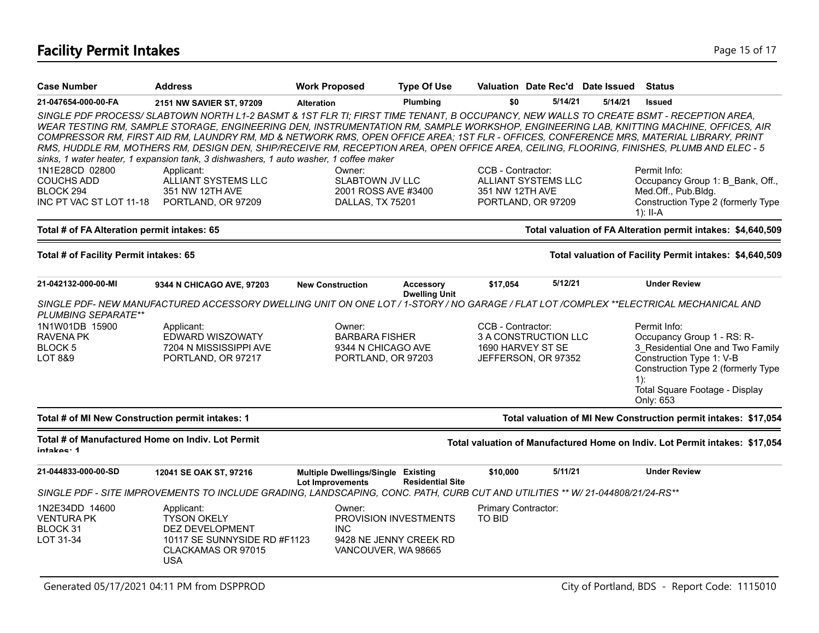# **Facility Permit Intakes** Page 15 of 17

| <b>Case Number</b>                                              | <b>Address</b>                                                                                                                                                                                                                                                                                                                                                                                                                                                                                                                                                                                                                                                    | <b>Work Proposed</b>                                                 | <b>Type Of Use</b>      |                     | Valuation Date Rec'd Date Issued         |         | <b>Status</b>                                                               |
|-----------------------------------------------------------------|-------------------------------------------------------------------------------------------------------------------------------------------------------------------------------------------------------------------------------------------------------------------------------------------------------------------------------------------------------------------------------------------------------------------------------------------------------------------------------------------------------------------------------------------------------------------------------------------------------------------------------------------------------------------|----------------------------------------------------------------------|-------------------------|---------------------|------------------------------------------|---------|-----------------------------------------------------------------------------|
| 21-047654-000-00-FA                                             | 2151 NW SAVIER ST, 97209                                                                                                                                                                                                                                                                                                                                                                                                                                                                                                                                                                                                                                          | <b>Alteration</b>                                                    | Plumbing                | \$0                 | 5/14/21                                  | 5/14/21 | <b>Issued</b>                                                               |
|                                                                 | SINGLE PDF PROCESS/SLABTOWN NORTH L1-2 BASMT & 1ST FLR TI; FIRST TIME TENANT, B OCCUPANCY, NEW WALLS TO CREATE BSMT - RECEPTION AREA,<br>WEAR TESTING RM, SAMPLE STORAGE, ENGINEERING DEN, INSTRUMENTATION RM, SAMPLE WORKSHOP, ENGINEERING LAB, KNITTING MACHINE, OFFICES, AIR<br>COMPRESSOR RM, FIRST AID RM, LAUNDRY RM, MD & NETWORK RMS, OPEN OFFICE AREA; 1ST FLR - OFFICES, CONFERENCE MRS, MATERIAL LIBRARY, PRINT<br>RMS, HUDDLE RM, MOTHERS RM, DESIGN DEN, SHIP/RECEIVE RM, RECEPTION AREA, OPEN OFFICE AREA, CEILING, FLOORING, FINISHES, PLUMB AND ELEC - 5<br>sinks, 1 water heater, 1 expansion tank, 3 dishwashers, 1 auto washer, 1 coffee maker |                                                                      |                         |                     |                                          |         |                                                                             |
| 1N1E28CD 02800                                                  | Applicant:                                                                                                                                                                                                                                                                                                                                                                                                                                                                                                                                                                                                                                                        | Owner:                                                               |                         | CCB - Contractor:   |                                          |         | Permit Info:                                                                |
| <b>COUCHS ADD</b><br>BLOCK 294                                  | ALLIANT SYSTEMS LLC                                                                                                                                                                                                                                                                                                                                                                                                                                                                                                                                                                                                                                               | <b>SLABTOWN JV LLC</b>                                               |                         | 351 NW 12TH AVE     | ALLIANT SYSTEMS LLC                      |         | Occupancy Group 1: B Bank, Off.,                                            |
| INC PT VAC ST LOT 11-18                                         | 351 NW 12TH AVE<br>PORTLAND, OR 97209                                                                                                                                                                                                                                                                                                                                                                                                                                                                                                                                                                                                                             | 2001 ROSS AVE #3400<br>DALLAS, TX 75201                              |                         |                     | PORTLAND, OR 97209                       |         | Med.Off., Pub.Bldg.<br>Construction Type 2 (formerly Type<br>$1$ : II-A     |
| Total # of FA Alteration permit intakes: 65                     |                                                                                                                                                                                                                                                                                                                                                                                                                                                                                                                                                                                                                                                                   |                                                                      |                         |                     |                                          |         | Total valuation of FA Alteration permit intakes: \$4,640,509                |
| Total # of Facility Permit intakes: 65                          |                                                                                                                                                                                                                                                                                                                                                                                                                                                                                                                                                                                                                                                                   |                                                                      |                         |                     |                                          |         | Total valuation of Facility Permit intakes: \$4,640,509                     |
| 21-042132-000-00-MI                                             | 9344 N CHICAGO AVE, 97203                                                                                                                                                                                                                                                                                                                                                                                                                                                                                                                                                                                                                                         | <b>New Construction</b>                                              | <b>Accessory</b>        | \$17,054            | 5/12/21                                  |         | <b>Under Review</b>                                                         |
| PLUMBING SEPARATE**                                             | SINGLE PDF-NEW MANUFACTURED ACCESSORY DWELLING UNIT ON ONE LOT / 1-STORY / NO GARAGE / FLAT LOT /COMPLEX **ELECTRICAL MECHANICAL AND                                                                                                                                                                                                                                                                                                                                                                                                                                                                                                                              |                                                                      | <b>Dwelling Unit</b>    |                     |                                          |         |                                                                             |
| 1N1W01DB 15900                                                  | Applicant:                                                                                                                                                                                                                                                                                                                                                                                                                                                                                                                                                                                                                                                        | Owner:                                                               |                         | CCB - Contractor:   |                                          |         | Permit Info:                                                                |
| <b>RAVENA PK</b><br><b>BLOCK5</b>                               | EDWARD WISZOWATY                                                                                                                                                                                                                                                                                                                                                                                                                                                                                                                                                                                                                                                  | <b>BARBARA FISHER</b>                                                |                         |                     | 3 A CONSTRUCTION LLC                     |         | Occupancy Group 1 - RS: R-<br>3 Residential One and Two Family              |
| LOT 8&9                                                         | 7204 N MISSISSIPPI AVE<br>PORTLAND, OR 97217                                                                                                                                                                                                                                                                                                                                                                                                                                                                                                                                                                                                                      | 9344 N CHICAGO AVE<br>PORTLAND, OR 97203                             |                         |                     | 1690 HARVEY ST SE<br>JEFFERSON, OR 97352 |         | Construction Type 1: V-B                                                    |
|                                                                 |                                                                                                                                                                                                                                                                                                                                                                                                                                                                                                                                                                                                                                                                   |                                                                      |                         |                     |                                          |         | Construction Type 2 (formerly Type                                          |
|                                                                 |                                                                                                                                                                                                                                                                                                                                                                                                                                                                                                                                                                                                                                                                   |                                                                      |                         |                     |                                          |         | $1)$ :                                                                      |
|                                                                 |                                                                                                                                                                                                                                                                                                                                                                                                                                                                                                                                                                                                                                                                   |                                                                      |                         |                     |                                          |         | Total Square Footage - Display<br>Only: 653                                 |
| Total # of MI New Construction permit intakes: 1                |                                                                                                                                                                                                                                                                                                                                                                                                                                                                                                                                                                                                                                                                   |                                                                      |                         |                     |                                          |         | Total valuation of MI New Construction permit intakes: \$17,054             |
| Total # of Manufactured Home on Indiv. Lot Permit<br>intakes: 1 |                                                                                                                                                                                                                                                                                                                                                                                                                                                                                                                                                                                                                                                                   |                                                                      |                         |                     |                                          |         | Total valuation of Manufactured Home on Indiv. Lot Permit intakes: \$17,054 |
| 21-044833-000-00-SD                                             | 12041 SE OAK ST, 97216                                                                                                                                                                                                                                                                                                                                                                                                                                                                                                                                                                                                                                            | <b>Multiple Dwellings/Single Existing</b><br><b>Lot Improvements</b> | <b>Residential Site</b> | \$10,000            | 5/11/21                                  |         | <b>Under Review</b>                                                         |
|                                                                 | SINGLE PDF - SITE IMPROVEMENTS TO INCLUDE GRADING, LANDSCAPING, CONC. PATH, CURB CUT AND UTILITIES ** W/ 21-044808/21/24-RS**                                                                                                                                                                                                                                                                                                                                                                                                                                                                                                                                     |                                                                      |                         |                     |                                          |         |                                                                             |
| 1N2E34DD 14600                                                  | Applicant:                                                                                                                                                                                                                                                                                                                                                                                                                                                                                                                                                                                                                                                        | Owner:                                                               |                         | Primary Contractor: |                                          |         |                                                                             |
| <b>VENTURA PK</b>                                               | <b>TYSON OKELY</b>                                                                                                                                                                                                                                                                                                                                                                                                                                                                                                                                                                                                                                                |                                                                      | PROVISION INVESTMENTS   | TO BID              |                                          |         |                                                                             |
| BLOCK 31<br>LOT 31-34                                           | DEZ DEVELOPMENT<br>10117 SE SUNNYSIDE RD #F1123                                                                                                                                                                                                                                                                                                                                                                                                                                                                                                                                                                                                                   | <b>INC</b>                                                           | 9428 NE JENNY CREEK RD  |                     |                                          |         |                                                                             |
|                                                                 | CLACKAMAS OR 97015<br><b>USA</b>                                                                                                                                                                                                                                                                                                                                                                                                                                                                                                                                                                                                                                  | VANCOUVER, WA 98665                                                  |                         |                     |                                          |         |                                                                             |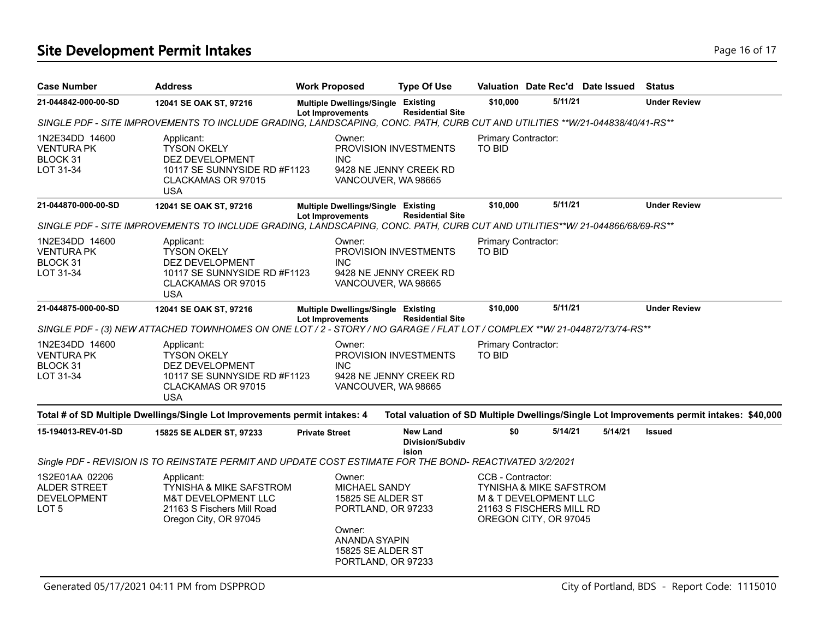# **Site Development Permit Intakes Page 16 of 17 Page 16 of 17**

| <b>Case Number</b>                                            | <b>Address</b>                                                                                                                 | <b>Work Proposed</b>                                                                                                                            | <b>Type Of Use</b>                                 |                                      |                                                                                                                  | Valuation Date Rec'd Date Issued | <b>Status</b>                                                                             |
|---------------------------------------------------------------|--------------------------------------------------------------------------------------------------------------------------------|-------------------------------------------------------------------------------------------------------------------------------------------------|----------------------------------------------------|--------------------------------------|------------------------------------------------------------------------------------------------------------------|----------------------------------|-------------------------------------------------------------------------------------------|
| 21-044842-000-00-SD                                           | 12041 SE OAK ST, 97216                                                                                                         | Multiple Dwellings/Single Existing<br><b>Lot Improvements</b>                                                                                   | <b>Residential Site</b>                            | \$10,000                             | 5/11/21                                                                                                          |                                  | <b>Under Review</b>                                                                       |
|                                                               | SINGLE PDF - SITE IMPROVEMENTS TO INCLUDE GRADING, LANDSCAPING, CONC. PATH, CURB CUT AND UTILITIES **W/21-044838/40/41-RS**    |                                                                                                                                                 |                                                    |                                      |                                                                                                                  |                                  |                                                                                           |
| 1N2E34DD 14600<br>VENTURA PK<br>BLOCK 31<br>LOT 31-34         | Applicant:<br><b>TYSON OKELY</b><br>DEZ DEVELOPMENT<br>10117 SE SUNNYSIDE RD #F1123<br>CLACKAMAS OR 97015<br><b>USA</b>        | Owner:<br>PROVISION INVESTMENTS<br><b>INC</b><br>9428 NE JENNY CREEK RD<br>VANCOUVER, WA 98665                                                  |                                                    | Primary Contractor:<br><b>TO BID</b> |                                                                                                                  |                                  |                                                                                           |
| 21-044870-000-00-SD                                           | 12041 SE OAK ST, 97216                                                                                                         | Multiple Dwellings/Single Existing<br><b>Lot Improvements</b>                                                                                   | <b>Residential Site</b>                            | \$10,000                             | 5/11/21                                                                                                          |                                  | <b>Under Review</b>                                                                       |
|                                                               | SINGLE PDF - SITE IMPROVEMENTS TO INCLUDE GRADING, LANDSCAPING, CONC. PATH, CURB CUT AND UTILITIES**W/ 21-044866/68/69-RS**    |                                                                                                                                                 |                                                    |                                      |                                                                                                                  |                                  |                                                                                           |
| 1N2E34DD 14600<br><b>VENTURA PK</b><br>BLOCK 31<br>LOT 31-34  | Applicant:<br><b>TYSON OKELY</b><br>DEZ DEVELOPMENT<br>10117 SE SUNNYSIDE RD #F1123<br>CLACKAMAS OR 97015<br><b>USA</b>        | Owner:<br>PROVISION INVESTMENTS<br><b>INC</b><br>9428 NE JENNY CREEK RD<br>VANCOUVER, WA 98665                                                  |                                                    | Primary Contractor:<br>TO BID        |                                                                                                                  |                                  |                                                                                           |
| 21-044875-000-00-SD                                           | 12041 SE OAK ST, 97216                                                                                                         | Multiple Dwellings/Single Existing<br><b>Lot Improvements</b>                                                                                   | <b>Residential Site</b>                            | \$10,000                             | 5/11/21                                                                                                          |                                  | <b>Under Review</b>                                                                       |
|                                                               | SINGLE PDF - (3) NEW ATTACHED TOWNHOMES ON ONE LOT / 2 - STORY / NO GARAGE / FLAT LOT / COMPLEX **W/ 21-044872/73/74-RS**      |                                                                                                                                                 |                                                    |                                      |                                                                                                                  |                                  |                                                                                           |
| 1N2E34DD 14600<br><b>VENTURA PK</b><br>BLOCK 31<br>LOT 31-34  | Applicant:<br><b>TYSON OKELY</b><br>DEZ DEVELOPMENT<br>10117 SE SUNNYSIDE RD #F1123<br>CLACKAMAS OR 97015<br><b>USA</b>        | Owner:<br>PROVISION INVESTMENTS<br>INC.<br>9428 NE JENNY CREEK RD<br>VANCOUVER, WA 98665                                                        |                                                    | Primary Contractor:<br><b>TO BID</b> |                                                                                                                  |                                  |                                                                                           |
|                                                               | Total # of SD Multiple Dwellings/Single Lot Improvements permit intakes: 4                                                     |                                                                                                                                                 |                                                    |                                      |                                                                                                                  |                                  | Total valuation of SD Multiple Dwellings/Single Lot Improvements permit intakes: \$40,000 |
| 15-194013-REV-01-SD                                           | 15825 SE ALDER ST, 97233                                                                                                       | <b>Private Street</b>                                                                                                                           | <b>New Land</b><br><b>Division/Subdiv</b><br>ision | \$0                                  | 5/14/21                                                                                                          | 5/14/21                          | <b>Issued</b>                                                                             |
|                                                               | Single PDF - REVISION IS TO REINSTATE PERMIT AND UPDATE COST ESTIMATE FOR THE BOND- REACTIVATED 3/2/2021                       |                                                                                                                                                 |                                                    |                                      |                                                                                                                  |                                  |                                                                                           |
| 1S2E01AA 02206<br>ALDER STREET<br><b>DEVELOPMENT</b><br>LOT 5 | Applicant:<br><b>TYNISHA &amp; MIKE SAFSTROM</b><br>M&T DEVELOPMENT LLC<br>21163 S Fischers Mill Road<br>Oregon City, OR 97045 | Owner:<br><b>MICHAEL SANDY</b><br>15825 SE ALDER ST<br>PORTLAND, OR 97233<br>Owner:<br>ANANDA SYAPIN<br>15825 SE ALDER ST<br>PORTLAND, OR 97233 |                                                    | CCB - Contractor:                    | <b>TYNISHA &amp; MIKE SAFSTROM</b><br>M & T DEVELOPMENT LLC<br>21163 S FISCHERS MILL RD<br>OREGON CITY, OR 97045 |                                  |                                                                                           |